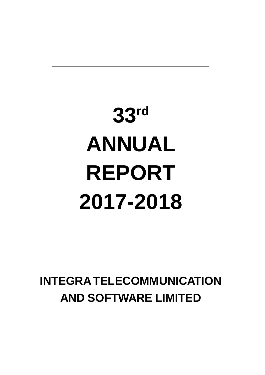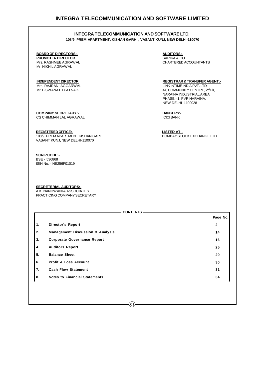**108/9, PREM APARTMENT, KISHAN GARH , VASANT KUNJ, NEW DELHI-110070**

### **BOARD OF DIRECTORS:- AUDITORS:-**

**PROMOTER DIRECTOR SARIKA & CO.** Mr. NIKHIL AGRAWAL

Mrs. RASHMEE AGRAWAL CHARTERED ACCOUNTANTS

**INDEPENDENT DIRECTOR REGISTRAR & TRANSFER AGENT:-** Mrs. RAJRANI AGGARWAL LINK INTIME INDIA PVT. LTD.<br>Mr. BISWANATH PATNAIK LINK INTERNET AND RESOLUTION AND MELONIMUNITY CENTRE, 2 44, COMMUNITY CENTRE, 2<sup>nd</sup> Flr, NARAINA INDUSTRIAL AREA PHASE - 1, PVR NARAINA, NEW DELHI- 1100028

**COMPANY SECRETARY:- BANKERS:- CS CHIMMAN LAL AGRAWAL ICICI BANK** ICICI BANK

**REGISTERED OFFICE:- LISTED AT:-**

108/9, PREM APARTMENT KISHAN GARH, VASANT KUNJ, NEW DELHI-110070

#### **SCRIP CODE:-**

BSE - 536868 ISIN No. - INE256F01019

**SECRETERIAL AUDITORS:-** A.K. NANDWANI & ASSOCIATES PRACTICING COMPANY SECRETARY

|    | <b>CONTENTS</b>                             |              |
|----|---------------------------------------------|--------------|
|    |                                             | Page No.     |
| 1. | <b>Director's Report</b>                    | $\mathbf{2}$ |
| 2. | <b>Management Discussion &amp; Analysis</b> | 14           |
| 3. | <b>Corporate Governance Report</b>          | 16           |
| 4. | <b>Auditors Report</b>                      | 25           |
| 5. | <b>Balance Sheet</b>                        | 29           |
| 6. | <b>Profit &amp; Loss Account</b>            | 30           |
| 7. | <b>Cash Flow Statement</b>                  | 31           |
| 8. | <b>Notes to Financial Statements</b>        | 34           |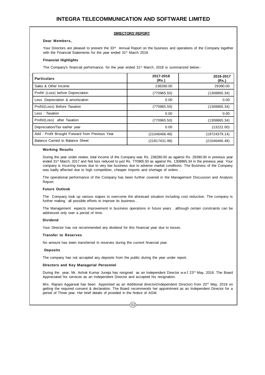#### **DIRECTORS' REPORT**

#### **Dear Members,**

Your Directors are pleased to present the 33<sup>rd</sup> Annual Report on the business and operations of the Company together with the Financial Statements for the year ended 31<sup>st</sup> March 2018.

#### **Financial Highlights**

:

The Company's financial performance, for the year ended 31<sup>st</sup> March, 2018 is summarized below:-

| <b>Particulars</b>                             | 2017-2018<br>(Rs.) | 2016-2017<br>(Rs.) |
|------------------------------------------------|--------------------|--------------------|
| Sales & Other Income                           | 238280.00          | 29390.00           |
| Profit/ (Loss) before Depreciation             | (770965.50)        | (1308865.34)       |
| Less: Depreciation & amortization              | 0.00               | 0.00               |
| Profit/(Loss) Before Taxation                  | (770965.50)        | (1308865.34)       |
| Less: Taxation                                 | 0.00               | 0.00               |
| Profit/(Loss) after Taxation                   | (770965.50)        | (1308865.34)       |
| Depreciation/Tax earlier year                  | 0.00               | (13222.00)         |
| Add: Profit Brought Forward from Previous Year | (21046466.48)      | (19724379.14)      |
| Balance Carried to Balance Sheet               | (21817431.98)      | (21046466.48)      |

#### **Working Results**

During the year under review, total income of the Company was Rs. 238280.00 as against Rs. 29390.00 in previous year ended 31st March, 2017 and Net loss reduced to just Rs. 770965.50 as against Rs. 1308865.34 in the previous year. Your company is incurring losses due to very low business due to adverse market conditions. The Business of the Company was badly affected due to high competition, cheaper Imports and shortage of orders.

The operational performance of the Company has been further covered in the Management Discussion and Analysis Report.

#### **Future Outlook**

The Company took up various stapes to overcome the aforesaid situation including cost reduction. The company is further making all possible efforts to improve its business .

The Management expects improvement in business operations in future years , although certain constraints can be addressed only over a period of time.

#### **Dividend**

Your Director has not recommended any dividend for this financial year due to losses.

#### **Transfer to Reserves**

No amount has been transferred in reserves during the current financial year.

#### **Deposits**

The company has not accepted any deposits from the public during the year under report.

#### **Directors and Key Managerial Personnel**

During the year, Mr. Ashok Kumar Juneja has resigned as an Independent Director w.e.f 23<sup>rd</sup> May, 2018. The Board Appreciated his services as an Independent Director and accepted his resignation.

Mrs. Rajrani Aggarwal has been Appointed as an Additional director(Independent Director) from 20<sup>th</sup> May, 2018 on getting the required consent & declaration. The Board recommends her appointment as an Independent Director for a period of Three year. Her brief details of provided in the Notice of AGM.

 $02$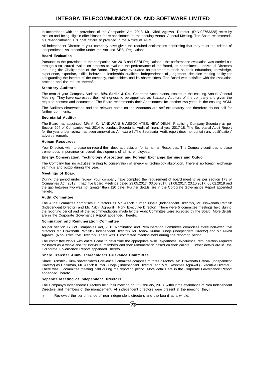In accordance with the provisions of the Companies Act, 2013, Mr. Nikhil Agrawal, Director, (DIN:02763328) retire by rotation and being eligible offer himself for re-appointment at the ensuing Annual General Meeting. The Board recommends his re-appointment. His brief details of provided in the Notice of AGM.

All independent Director of your company have given the required declarations confirming that they meet the criteria of independence As prescribe under the Act and SEBI Regulations.

#### **Board Evaluation**

Pursuant to the provisions of the companies Act 2013 and SEBI Regulations , the performance evaluation was carried out through a structured evaluation process to evaluate the performance of the Board, Its committees, Individual Directors including the Chairperson of the Board. They were evaluated on parameters such as their education, knowledge, experience, expertise, skills, behaviour, leadership qualities, independence of judgement, decision making ability for safeguarding the interest of the company, stakeholders and its shareholders. The Board was satisfied with the evaluation process and the results thereof.

#### **Statutory Auditors**

The term of your Company Auditors, **M/s. Sarika & Co.,** Chartered Accountants, expires at the ensuing Annual General Meeting. They have expressed their willingness to be appointed as Statutory Auditors of the company and given the required consent and documents. The Board recommends their Appointment for another two years in the ensuing AGM.

The Auditors observations and the relevant notes on the Accounts are self-explanatory and therefore do not call for further comments.

#### **Secretarial Auditor**

The Board has appointed, M/s A. K. NANDWANI & ASSOCIATES, NEW DELHI, Practising Company Secretary as per Section 204 of Companies Act, 2014 to conduct Secretarial Audit of financial year 2017-18. The Secretarial Audit Report for the year under review has been annexed as Annexure I . The Secretarial Audit report does not contain any qualification/ adverse remark.

#### **Human Resources**

Your Directors wish to place on record their deep appreciation for its human Resources. The Company continues to place tremendous importance on overall development of all its employees.

#### **Energy Conservation, Technology Absorption and Foreign Exchange Earnings and Outgo**

The Company has no activities relating to conservation of energy or technology absorption. There is no foreign exchange earnings and outgo during the year.

#### **Meetings of Board**

During the period under review, your company have complied the requirement of board meeting as per section 173 of Companies Act, 2013. It had five Board Meetings dated 29.05.2017, 03.08.2017, 31.08.2017, 23.10.2017, 06.02.2018 and the gap between two was not greater than 120 days. Further details are in the Corporate Governance Report appended hereto.

#### **Audit Committee**

The Audit Committee comprises 3 directors as Mr. Ashok Kumar Juneja (Independent Director), Mr. Biswanath Patnaik (Independent Director) and Mr. Nikhil Agrawal ( Non- Executive Director). There were 5 committee meetings held during the reporting period and all the recommendations made by the Audit Committee were accepted by the Board. More details are in the Corporate Governance Report appended hereto.

#### **Nomination and Remuneration Committee**

As per section 178 of Companies Act, 2013 Nomination and Remuneration Committee comprises three non-executive directors Mr. Biswanath Patnaik ( Independent Director), Mr. Ashok Kumar Juneja (Independent Director) and Mr. Nikhil Agrawal (Non- Executive Director). There was 1 committee meeting held during the reporting period.

The committee works with entire Board to determine the appropriate skills, expertness, experience, remuneration required for board as a whole and for Individual members and their remuneration based on their calibre. Further details are in the Corporate Governance Report appended hereto.

#### **Share Transfer -Cum- shareholders Grievance Committee**

Share Transfer -Cum- shareholders Grievance Committee comprise of three directors, Mr. Biswanath Patnaik (Independent Director) as Chairman, Mr. Ashok Kumar Juneja ( Independent Director) and Mrs. Rashmee Agrawal ( Executive Director). There was 1 committee meeting held during the reporting period. More details are in the Corporate Governance Report appended hereto.

#### **Separate Meeting of Independent Directors**

The Company's Independent Directors held their meeting on 6<sup>th</sup> February, 2018, without the attendance of Non Independent Directors and members of the management. All independent directors were present at the meeting, they:-

 $(03)$ 

i) Reviewed the performance of non independent directors and the board as a whole;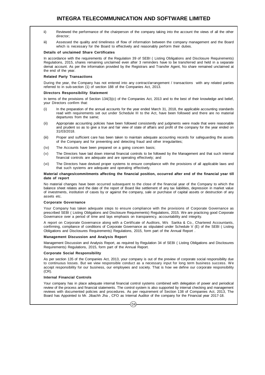- ii) Reviewed the performance of the chairperson of the company taking into the account the views of all the other director;
- iii) Assessed the quality and timeliness of flow of information between the company management and the Board which is necessary for the Board to effectively and reasonably perform their duties.

#### **Details of unclaimed Share Certificates**

In accordance with the requirements of the Regulation 39 of SEBI ( Listing Obligations and Disclosure Requirements) Regulations, 2015, shares remaining unclaimed even after 3 reminders have to be transferred and held in a separate demat account. As per the information provided by the Registrars and Transfer Agent, No share remained unclaimed at the end of the year.

#### **Related Party Transactions**

During the year, the Company has not entered into any contract/arrangement / transactions with any related parties referred to in sub-section (1) of section 188 of the Companies Act, 2013.

#### **Directors Responsibility Statement**

In terms of the provisions of Section 134(3)(c) of the Companies Act, 2013 and to the best of their knowledge and belief, your Directors confirm that:

- (i) In the preparation of the annual accounts for the year ended March 31, 2018, the applicable accounting standards read with requirements set out under Schedule III to the Act, have been followed and there are no material departures from the same;
- (ii) Appropriate accounting policies have been followed consistently and judgments were made that were reasonable and prudent so as to give a true and fair view of state of affairs and profit of the company for the year ended on 31/03/2018.
- (iii) Proper and sufficient care has been taken to maintain adequate accounting records for safeguarding the assets of the Company and for preventing and detecting fraud and other irregularities;
- (iv) The Accounts have been prepared on a going concern basis;
- (v) The Directors have laid down internal financial controls to be followed by the Management and that such internal financial controls are adequate and are operating effectively; and
- (vi) The Directors have devised proper systems to ensure compliance with the provisions of all applicable laws and that such systems are adequate and operating effectively.

#### **Material changes/commitments affecting the financial position, occurred after end of the financial year till date of report**

No material changes have been occurred subsequent to the close of the financial year of the Company to which the balance sheet relates and the date of the report of Board like settlement of any tax liabilities, depression in market value of investments, institution of cases by or against the company, sale or purchase of capital assets or destruction of any assets etc.

#### **Corporate Governance**

Your Company has taken adequate steps to ensure compliance with the provisions of Corporate Governance as prescribed SEBI ( Listing Obligations and Disclosure Requirements) Regulations, 2015. We are practicing good Corporate Governance over a period of time and lays emphasis on transparency, accountability and integrity.

A report on Corporate Governance along with a Certificate of Auditors, M/s Sarika & Co., Chartered Accountants, confirming, compliance of conditions of Corporate Governance as stipulated under Schedule V (E) of the SEBI ( Listing Obligations and Disclosures Requirements) Regulations, 2015, form part of the Annual Report .

#### **Management Discussion and Analysis Report**

Management Discussion and Analysis Report, as required by Regulation 34 of SEBI ( Listing Obligations and Disclosures Requirements) Regulations, 2015, form part of the Annual Report.

#### **Corporate Social Responsibility**

As per section 135 of the Companies Act, 2013, your company is out of the preview of corporate social responsibility due to continuous losses. But we view responsible conduct as a necessary input for long term business success. We accept responsibility for our business, our employees and society. That is how we define our corporate responsibility  $(CR)$ .

#### **Internal Financial Controls**

Your company has in place adequate internal financial control systems combined with delegation of power and periodical review of the process and financial statements. The control system is also supported by internal checking and management reviews with documented policies and procedures. As per requirement of Section 138 of Companies Act, 2013, The Board has Appointed to Mr. Jibachh Jha , CFO as Internal Auditor of the company for the Financial year 2017-18.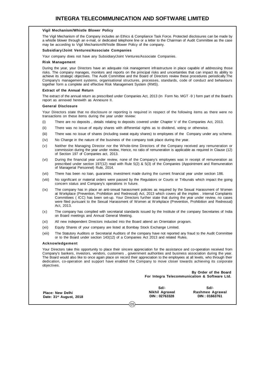#### **Vigil Mechanism/Whistle Blower Policy**

The Vigil Mechanism of the Company includes an Ethics & Compliance Task Force. Protected disclosures can be made by a whistle blower through an e-mail, or dedicated telephone line or a letter to the Chairman of Audit Committee as the case may be according to Vigil Mechanism/Whistle Blower Policy of the company.

#### **Subsidiary/Joint Ventures/Associate Companies**

Your company does not have any Subsidiary/Joint Ventures/Associate Companies.

#### **Risk Management**

During the year, your Directors have an adequate risk management infrastructure in place capable of addressing those risks. The company manages, monitors and reports on the principal risks and uncertainties that can impact its ability to achieve its strategic objectives. The Audit Committee and the Board of Directors review these procedures periodically.The Company's management systems, organisational structures, processes, standards, code of conduct and behaviours together form a complete and effective Risk Management System (RMS).

#### **Extract of the Annual Return**

The extract of the annual return as prescribed under Companies Act, 2013 (In Form No. MGT -9 ) form part of the Board's report as annexed herewith as Annexure II.

#### **General Disclosure**

Your Directors state that no disclosure or reporting is required in respect of the following items as there were no transactions on these items during the year under review:

- (i) There are no deposits , details relating to deposits covered under Chapter V of the Companies Act, 2013.
- (ii) There was no issue of equity shares with differential rights as to dividend, voting or otherwise.
- (iii) There was no issue of shares (including sweat equity shares) to employees of the Company under any scheme.
- (iv) No Change in the nature of the business of the company took place during the year.
- (v) Neither the Managing Director nor the Whole-time Directors of the Company received any remuneration or commission during the year under review, Hence, no ratio of remuneration is applicable as required in Clause (12) of Section 197 of Companies act, 2013.
- (vi) During the financial year under review, none of the Company's employees was in receipt of remuneration as prescribed under section 197(12) read with Rule 5(2) & 5(3) of the Companies (Appointment and Remuneration of Managerial Personnel) Rule, 2014.
- (vii) There has been no loan, guarantee, investment made during the current financial year under section 186.
- (viii) No significant or material orders were passed by the Regulators or Courts or Tribunals which impact the going concern status and Company's operations in future.
- (ix) The company has in place an anti-sexual harassment policies as required by the Sexual Harassment of Women at Workplace (Prevention, Prohibition and Redressal) Act, 2013 which covers all the implies . Internal Complaints Committees ( ICC) has been set-up. Your Directors further state that during the year under review, no cases were filed pursuant to the Sexual Harassment of Women at Workplace (Prevention, Prohibition and Redressal) Act, 2013.
- (x) The company has complied with secretarial standards issued by the Institute of the company Secretaries of India on Board meetings and Annual General Meeting.
- (xi) All new independent Directors inducted into the Board attend an Orientation program.
- (xii) Equity Shares of your company are listed at Bombay Stock Exchange Limited.
- (xiii) The Statutory Auditors or Secretarial Auditors of the company have not reported any fraud to the Audit Committee or to the Board under section 143(12) of a Companies Act 2013 and related Rules.

#### **Acknowledgement**

Your Directors take this opportunity to place their sincere appreciation for the assistance and co-operation received from Company's bankers, investors, vendors, customers , government authorities and business association during the year. The Board would also like to once again place on record their appreciation to the employees at all levels, who through their dedication, co-operation and support have enabled the Company to move closer towards achieving its corporate objectives.

> **By Order of the Board For Integra Telecommunication & Software Ltd.**

**Place: New Delhi Date: 31st August, 2018**

**Sd/- Nikhil Agrawal DIN : 02763328**

**Sd/- Rashmee Agrawal DIN : 01663761**

 $(05)$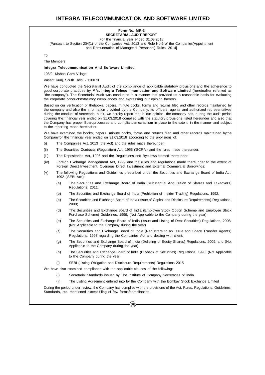#### **Form No. MR-3 SECRETARIAL AUDIT REPORT**

For the financial year ended 31.03.2018

[Pursuant to Section 204(1) of the Companies Act, 2013 and Rule No.9 of the Companies(Appointment and Remuneration of Managerial Personnel) Rules, 2014]

To

The Members

#### I**ntegra Telecommunication And Software Limited**

108/9, Kishan Garh Village

Vasant Kunj, South Delhi - 110070

We have conducted the Secretarial Audit of the compliance of applicable statutory provisions and the adherence to good corporate practices by **M/s. Integra Telecommunication and Software Limited** (hereinafter referred as "the company"). The Secretarial Audit was conducted in a manner that provided us a reasonable basis for evaluating the corporate conducts/statutory compliances and expressing our opinion thereon.

Based on our verification of thebooks, papers, minute books, forms and returns filed and other records maintained by the company and also the information provided by the Company, its officers, agents and authorized representatives during the conduct of secretarial audit, we hereby report that in our opinion, the company has, during the audit period covering the financial year ended on 31.03.2018 complied with the statutory provisions listed hereunder and also that the Company has proper Boardprocesses and compliancemechanism in place to the extent, in the manner and subject to the reporting made hereinafter:

We have examined the books, papers, minute books, forms and returns filed and other records maintained bythe Companyfor the financial year ended on 31.03.2018 according to the provisions of:

- (i) The Companies Act, 2013 (the Act) and the rules made thereunder;
- (ii) The Securities Contracts (Regulation) Act, 1956 ('SCRA') and the rules made thereunder;
- (iii) The Depositories Act, 1996 and the Regulations and Bye-laws framed thereunder;
- (iv) Foreign Exchange Management Act, 1999 and the rules and regulations made thereunder to the extent of Foreign Direct Investment, Overseas Direct Investment and External Commercial Borrowings;
- (v) The following Regulations and Guidelines prescribed under the Securities and Exchange Board of India Act, 1992 ('SEBI Act'):-
	- (a) The Securities and Exchange Board of India (Substantial Acquisition of Shares and Takeovers) Regulations, 2011;
	- (b) The Securities and Exchange Board of India (Prohibition of Insider Trading) Regulations, 1992;
	- (c) The Securities and Exchange Board of India (Issue of Capital and Disclosure Requirements) Regulations, 2009;
	- (d) The Securities and Exchange Board of India (Employee Stock Option Scheme and Employee Stock Purchase Scheme) Guidelines, 1999; (Not Applicable to the Company during the year)
	- (e) The Securities and Exchange Board of India (Issue and Listing of Debt Securities) Regulations, 2008; (Not Applicable to the Company during the year)
	- (f) The Securities and Exchange Board of India (Registrars to an Issue and Share Transfer Agents) Regulations, 1993 regarding the Companies Act and dealing with client;
	- (g) The Securities and Exchange Board of India (Delisting of Equity Shares) Regulations, 2009; and (Not Applicable to the Company during the year)
	- (h) The Securities and Exchange Board of India (Buyback of Securities) Regulations, 1998; (Not Applicable to the Company during the year)
	- (i) SEBI (Listing Obligation and Disclosure Requirements) Regulations 2015

We have also examined compliance with the applicable clauses of the following:

- (i) Secretarial Standards issued by The Institute of Company Secretaries of India.
- (ii) The Listing Agreement entered into by the Company with the Bombay Stock Exchange Limited

During the period under review, the Company has complied with the provisions of the Act, Rules, Regulations, Guidelines, Standards, etc. mentioned except filing of few forms/compliances.

 $\overline{06}$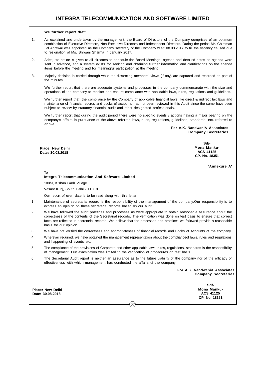#### **We further report that:**

- 1. As explained and undertaken by the management, the Board of Directors of the Company comprises of an optimum combination of Executive Directors, Non-Executive Directors and Independent Directors. During the period Mr. Chimman Lal Agrawal was appointed as the Company secretary of the Company w.e.f 08.08.2017 to fill the vacancy caused due to resignation of Ms. Shiwani Sharma in January 2017.
- 2. Adequate notice is given to all directors to schedule the Board Meetings, agenda and detailed notes on agenda were sent in advance, and a system exists for seeking and obtaining further information and clarifications on the agenda items before the meeting and for meaningful participation at the meeting.
- 3. Majority decision is carried through while the dissenting members' views (if any) are captured and recorded as part of the minutes.

We further report that there are adequate systems and processes in the company commensurate with the size and operations of the company to monitor and ensure compliance with applicable laws, rules, regulations and guidelines.

We further report that, the compliance by the Company of applicable financial laws like direct & indirect tax laws and maintenance of financial records and books of accounts has not been reviewed in this Audit since the same have been subject to review by statutory financial audit and other designated professionals.

We further report that during the audit period there were no specific events / actions having a major bearing on the company's affairs in pursuance of the above referred laws, rules, regulations, guidelines, standards, etc. referred to above.

> **For A.K. Nandwani& Associates Company Secretaries**

|                  | $Sd$ -           |
|------------------|------------------|
| Place: New Delhi | Mona Manku-      |
| Date: 30.08.2018 | <b>ACS 41125</b> |
|                  | CP. No. 18351    |

**'Annexure A'**

To

#### I**ntegra Telecommunication And Software Limited**

108/9, Kishan Garh Village

Vasant Kunj, South Delhi - 110070

Our report of even date is to be read along with this letter.

- 1. Maintenance of secretarial record is the responsibility of the management of the company.Our responsibility is to express an opinion on these secretarial records based on our audit.
- 2. We have followed the audit practices and processes as were appropriate to obtain reasonable assurance about the correctness of the contents of the Secretarial records. The verification was done on test basis to ensure that correct facts are reflected in secretarial records. We believe that the processes and practices we followed provide a reasonable basis for our opinion.
- 3. We have not verified the correctness and appropriateness of financial records and Books of Accounts of the company.
- 4. Wherever required, we have obtained the management representation about the complianceof laws, rules and regulations and happening of events etc.
- 5. The compliance of the provisions of Corporate and other applicable laws, rules, regulations, standards is the responsibility of management. Our examination was limited to the verification of procedures on test basis.
- 6. The Secretarial Audit report is neither an assurance as to the future viability of the company nor of the efficacy or effectiveness with which management has conducted the affairs of the company.

 $\hat{07}$ 

**For A.K. Nandwani& Associates Company Secretaries**

**Place: New Delhi Date: 30.08.2018**

**Sd/- Mona Manku-ACS 41125 CP. No. 18351**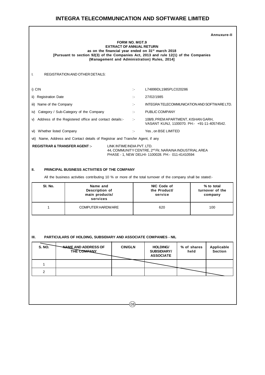$\Gamma$ 

|                                         |                                                                           | <b>FORM NO. MGT.9</b><br><b>EXTRACT OF ANNUAL RETURN</b> |              | as on the financial year ended on 31 <sup>st</sup> march 2018<br>[Pursuant to section 92(3) of the Companies Act, 2013 and rule 12(1) of the Companies<br>(Management and Administration) Rules, 2014] | Annuxure-II |
|-----------------------------------------|---------------------------------------------------------------------------|----------------------------------------------------------|--------------|--------------------------------------------------------------------------------------------------------------------------------------------------------------------------------------------------------|-------------|
| Ι.                                      | REGISTRATION AND OTHER DETAILS:                                           |                                                          |              |                                                                                                                                                                                                        |             |
| i) CIN                                  |                                                                           |                                                          | $\mathbf{I}$ | L74899DL1985PLC020286                                                                                                                                                                                  |             |
| <b>Registration Date</b><br>$\parallel$ |                                                                           |                                                          | ÷.           | 27/02/1985                                                                                                                                                                                             |             |
| Name of the Company<br>iii)             |                                                                           |                                                          | ÷.           | INTEGRA TELECOMMUNICATION AND SOFTWARE LTD.                                                                                                                                                            |             |
| iv)                                     | Category / Sub-Category of the Company                                    |                                                          | $\mathbf{I}$ | PUBLIC COMPANY                                                                                                                                                                                         |             |
|                                         | v) Address of the Registered office and contact details:-                 |                                                          | t÷.          | 108/9, PREM APARTMENT, KISHAN GARH,<br>VASANT KUNJ, 1100070. PH:- +91-11-40574542.                                                                                                                     |             |
| vi) Whether listed Company              |                                                                           |                                                          | $\mathbf{I}$ | Yes, on BSE LIMITED                                                                                                                                                                                    |             |
| vii)                                    | Name, Address and Contact details of Registrar and Transfer Agent, if any |                                                          |              |                                                                                                                                                                                                        |             |
| <b>REGISTRAR &amp; TRANSFER AGENT:-</b> |                                                                           | LINK INTIME INDIA PVT. LTD.                              |              | 44, COMMUNITY CENTRE, 2 <sup>nd</sup> Flr, NARAINA INDUSTRIAL AREA<br>PHASE - 1, NEW DELHI-1100028. PH: - 011-41410594                                                                                 |             |
| Ш.                                      | PRINCIPAL BUSINESS ACTIVITIES OF THE COMPANY                              |                                                          |              |                                                                                                                                                                                                        |             |
|                                         |                                                                           |                                                          |              | All the business activities contributing 10 % or more of the total turnover of the company shall be stated:-                                                                                           |             |
| SI. No.                                 | Name and                                                                  |                                                          |              | NIC Code of                                                                                                                                                                                            | % to total  |

| SI. No. | Name and<br>Description of<br>main products/<br>services | NIC Code of<br>the Product/<br>service | % to total<br>turnover of the<br>company |
|---------|----------------------------------------------------------|----------------------------------------|------------------------------------------|
|         | COMPUTER HARDWARE                                        | 620                                    | 100                                      |

### **III. PARTICULARS OF HOLDING, SUBSIDIARY AND ASSOCIATE COMPANIES - NIL**

| <b>S. NO.</b>  | <b>NAME AND ADDRESS OF</b><br>THE COMPANY | <b>CIN/GLN</b> | <b>HOLDING/</b><br><b>SUBSIDIARY/</b><br><b>ASSOCIATE</b> | % of shares<br>held | Applicable<br><b>Section</b> |
|----------------|-------------------------------------------|----------------|-----------------------------------------------------------|---------------------|------------------------------|
|                |                                           |                |                                                           |                     |                              |
| $\overline{2}$ |                                           |                |                                                           |                     |                              |
|                |                                           |                |                                                           |                     |                              |
|                |                                           |                |                                                           |                     |                              |
|                |                                           |                |                                                           |                     |                              |

 $(08)$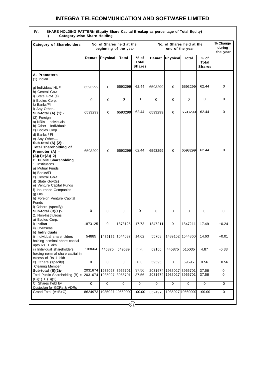| <b>Category of Shareholders</b>                                                                                                                                                                                                   |                    | No. of Shares held at the<br>beginning of the year |             |                         |                    | No. of Shares held at the<br>end of the year |                    |                                       | % Change<br>during<br>the year |
|-----------------------------------------------------------------------------------------------------------------------------------------------------------------------------------------------------------------------------------|--------------------|----------------------------------------------------|-------------|-------------------------|--------------------|----------------------------------------------|--------------------|---------------------------------------|--------------------------------|
|                                                                                                                                                                                                                                   | Demat              | Physical                                           | Total       | % of<br>Total<br>Shares | Demat              | <b>Physical</b>                              | <b>Total</b>       | % of<br><b>Total</b><br><b>Shares</b> |                                |
| A. Promoters<br>$(1)$ Indian                                                                                                                                                                                                      |                    |                                                    |             |                         |                    |                                              |                    |                                       |                                |
| g) Individual/ HUF<br>h) Central Govt                                                                                                                                                                                             | 6593299            | $\mathbf 0$                                        | 6593299     | 62.44                   | 6593299            | $\mathbf 0$                                  | 6593299            | 62.44                                 | 0                              |
| i) State Govt (s)<br>i) Bodies Corp.<br>k) Banks/FI                                                                                                                                                                               | 0                  | 0                                                  | 0           | 0                       | 0                  | 0                                            | 0                  | $\Omega$                              | 0                              |
| I) Any Other<br>Sub-total (A) (1):-<br>(2) Foreign                                                                                                                                                                                | 6593299            | 0                                                  | 6593299     | 62.44                   | 6593299            | 0                                            | 6593299            | 62.44                                 | 0                              |
| a) NRIs - Individuals<br>b) Other - Individuals<br>c) Bodies Corp.<br>d) Banks / FI<br>e) Any Other                                                                                                                               |                    |                                                    |             |                         |                    |                                              |                    |                                       |                                |
| Sub-total (A) (2):-<br>Total shareholding of<br>Promoter $(A) =$<br>$(A)(1)+(A)(2)$                                                                                                                                               | 6593299            | 0                                                  | 6593299     | 62.44                   | 6593299            | $\mathbf 0$                                  | 6593299            | 62.44                                 | 0                              |
| <b>B. Public Shareholding</b><br>1. Institutions<br>a) Mutual Funds<br>b) Banks/FI<br>c) Central Govt<br>d) State Govt(s)<br>e) Venture Capital Funds<br>f) Insurance Companies<br>g) Fils<br>h) Foreign Venture Capital<br>Funds |                    |                                                    |             |                         |                    |                                              |                    |                                       |                                |
| i) Others (specify)<br>Sub-total (B)(1):-<br>2. Non-Institutions                                                                                                                                                                  | 0                  | 0                                                  | 0           | 0                       | 0                  | 0                                            | 0                  | 0                                     | 0                              |
| a) Bodies Corp.<br>i) Indian<br>ii) Overseas                                                                                                                                                                                      | 1873125            | 0                                                  | 1873125     | 17.73                   | 1847211            | 0                                            | 1847211            | 17.49                                 | $+0.24$                        |
| b) Individuals<br>i) Individual shareholders<br>holding nominal share capital                                                                                                                                                     | 54885              | 1489152 1544037                                    |             | 14.62                   | 55708              |                                              | 1489152 1544860    | 14.63                                 | $+0.01$                        |
| upto Rs. 1 lakh<br>ii) Individual shareholders<br>holding nominal share capital in                                                                                                                                                | 103664             | 445875                                             | 549539      | 5.20                    | 69160              | 445875                                       | 515035             | 4.87                                  | $-0.33$                        |
| excess of Rs 1 lakh<br>c) Others (specify)<br><b>Clearing Member</b>                                                                                                                                                              | $\mathbf 0$        | 0                                                  | 0           | 0.0                     | 59595              | 0                                            | 59595              | 0.56                                  | +0.56                          |
| Sub-total (B)(2):-<br>Total Public Shareholding $(B) =$<br>$(B)(1) + (B)(2)$                                                                                                                                                      | 2031674<br>2031674 | 1935027 3966701<br>1935027                         | 3966701     | 37.56<br>37.56          | 2031674<br>2031674 | 1935027<br>1935027                           | 3966701<br>3966701 | 37.56<br>37.56                        | 0<br>0                         |
| C. Shares held by                                                                                                                                                                                                                 | $\mathbf 0$        | 0                                                  | $\mathbf 0$ | 0                       | 0                  | 0                                            | 0                  | 0                                     | 0                              |
| Custodian for GDRs & ADRs<br>Grand Total (A+B+C)                                                                                                                                                                                  | 8624973 1935027    |                                                    | 10560000    | 100.00                  | 8624973            |                                              | 1935027 10560000   | 100.00                                | 0                              |

# **IV. SHARE HOLDING PATTERN (Equity Share Capital Breakup as percentage of Total Equity)**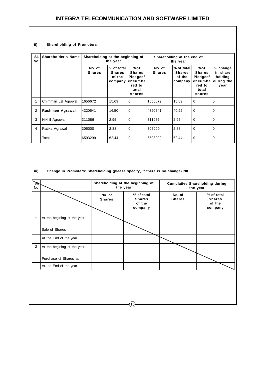#### **ii) Shareholding of Promoters**

| SI.<br>No. | <b>Shareholder's Name</b> | Shareholding at the beginning of | the year                                         |                                                                          |                         | Shareholding at the end of<br>the year           |                                                                          |                                                       |
|------------|---------------------------|----------------------------------|--------------------------------------------------|--------------------------------------------------------------------------|-------------------------|--------------------------------------------------|--------------------------------------------------------------------------|-------------------------------------------------------|
|            |                           | No. of<br><b>Shares</b>          | % of total<br><b>Shares</b><br>of the<br>company | %of<br><b>Shares</b><br>Pledged/<br>encumbe<br>red to<br>total<br>shares | No. of<br><b>Shares</b> | % of total<br><b>Shares</b><br>of the<br>company | %of<br><b>Shares</b><br>Pledged/<br>encumbe<br>red to<br>total<br>shares | % change<br>in share<br>holding<br>during the<br>year |
|            | Chimman Lal Agrawal       | 1656672                          | 15.69                                            | 0                                                                        | 1656672                 | 15.69                                            | $\mathbf 0$                                                              | $\Omega$                                              |
| 2          | Rashmee Agrawal           | 4320541                          | 16.50                                            | 0                                                                        | 4320541                 | 40.92                                            | $\mathbf 0$                                                              | $\Omega$                                              |
| 3          | Nikhil Agrawal            | 311086                           | 2.95                                             | 0                                                                        | 311086                  | 2.95                                             | $\Omega$                                                                 | $\Omega$                                              |
| 4          | Ratika Agrawal            | 305000                           | 2.88                                             | 0                                                                        | 305000                  | 2.88                                             | $\Omega$                                                                 | $\Omega$                                              |
|            | Total                     | 6593299                          | 62.44                                            | $\mathbf 0$                                                              | 6593299                 | 62.44                                            | $\Omega$                                                                 | $\Omega$                                              |

**iii) Change in Promoters' Shareholding (please specify, if there is no change) NIL**

| Зŀ.<br>No.     |                             |                         | Shareholding at the beginning of<br>the year     |                         | <b>Cumulative Shareholding during</b><br>the year |
|----------------|-----------------------------|-------------------------|--------------------------------------------------|-------------------------|---------------------------------------------------|
|                |                             | No. of<br><b>Shares</b> | % of total<br><b>Shares</b><br>of the<br>company | No. of<br><b>Shares</b> | % of total<br><b>Shares</b><br>of the<br>company  |
| 1              | At the begining of the year |                         |                                                  |                         |                                                   |
|                | Sale of Shares              |                         |                                                  |                         |                                                   |
|                | At the End of the year      |                         |                                                  |                         |                                                   |
| $\overline{2}$ | At the begining of the year |                         |                                                  |                         |                                                   |
|                | Purchase of Shares as       |                         |                                                  |                         |                                                   |
|                | At the End of the year      |                         |                                                  |                         |                                                   |
|                |                             |                         |                                                  |                         |                                                   |

 $(10)$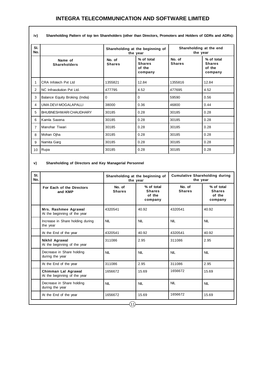| iv)            | Shareholding Pattern of top ten Shareholders (other than Directors, Promoters and Holders of GDRs and ADRs): |                         |                                                  |                                     |                                                  |  |
|----------------|--------------------------------------------------------------------------------------------------------------|-------------------------|--------------------------------------------------|-------------------------------------|--------------------------------------------------|--|
| SI.<br>No.     |                                                                                                              |                         | Shareholding at the beginning of<br>the year     | Shareholding at the end<br>the year |                                                  |  |
|                | Name of<br><b>Shareholders</b>                                                                               | No. of<br><b>Shares</b> | % of total<br><b>Shares</b><br>of the<br>company | No. of<br><b>Shares</b>             | % of total<br><b>Shares</b><br>of the<br>company |  |
| 1              | <b>CRA Infotech Pvt Ltd</b>                                                                                  | 1355821                 | 12.84                                            | 1355816                             | 12.84                                            |  |
| $\overline{2}$ | NC Infrasolution Pvt Ltd.                                                                                    | 477795                  | 4.52                                             | 477695                              | 4.52                                             |  |
| 3              | Balance Equity Broking (India)                                                                               | 0                       | 0                                                | 59590                               | 0.56                                             |  |
| 4              | UMA DEVI MOGALAPALLI                                                                                         | 38000                   | 0.36                                             | 46800                               | 0.44                                             |  |
| 5              | BHUBNESHWARI CHAUDHARY                                                                                       | 30185                   | 0.28                                             | 30185                               | 0.28                                             |  |
| 6              | Kamla Saxena                                                                                                 | 30185                   | 0.28                                             | 30185                               | 0.28                                             |  |
| $\overline{7}$ | Manohar Tiwari                                                                                               | 30185                   | 0.28                                             | 30185                               | 0.28                                             |  |
| 8              | Mohan Ojha                                                                                                   | 30185                   | 0.28                                             | 30185                               | 0.28                                             |  |
| 9              | Namita Garg                                                                                                  | 30185                   | 0.28                                             | 30185                               | 0.28                                             |  |
| 10             | Rupa                                                                                                         | 30185                   | 0.28                                             | 30185                               | 0.28                                             |  |

#### **v) Shareholding of Directors and Key Managerial Personnel**

| SI.<br>No. |                                                      |                         | Shareholding at the beginning of<br>the year     | <b>Cumulative Shareholding during</b><br>the year |                                                  |
|------------|------------------------------------------------------|-------------------------|--------------------------------------------------|---------------------------------------------------|--------------------------------------------------|
|            | For Each of the Directors<br>and KMP                 | No. of<br><b>Shares</b> | % of total<br><b>Shares</b><br>of the<br>company | No. of<br><b>Shares</b>                           | % of total<br><b>Shares</b><br>of the<br>company |
|            | Mrs. Rashmee Agrawal<br>At the beginning of the year | 4320541                 | 40.92                                            | 4320541                                           | 40.92                                            |
|            | Increase in Share holding during<br>the year         | <b>NIL</b>              | <b>NIL</b>                                       | <b>NIL</b>                                        | <b>NIL</b>                                       |
|            | At the End of the year                               | 4320541                 | 40.92                                            | 4320541                                           | 40.92                                            |
|            | Nikhil Agrawal<br>At the beginning of the year       | 311086                  | 2.95                                             | 311086                                            | 2.95                                             |
|            | Decrease in Share holding<br>during the year         | <b>NIL</b>              | <b>NIL</b>                                       | <b>NIL</b>                                        | <b>NIL</b>                                       |
|            | At the End of the year                               | 311086                  | 2.95                                             | 311086                                            | 2.95                                             |
|            | Chimman Lal Agrawal<br>At the beginning of the year  | 1656672                 | 15.69                                            | 1656672                                           | 15.69                                            |
|            | Decrease in Share holding<br>during the year         | <b>NIL</b>              | <b>NIL</b>                                       | <b>NIL</b>                                        | <b>NIL</b>                                       |
|            | At the End of the year                               | 1656672                 | 15.69                                            | 1656672                                           | 15.69                                            |
|            |                                                      | (11)                    |                                                  |                                                   |                                                  |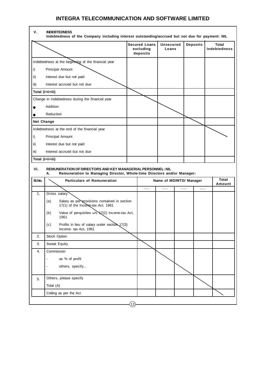|        |                                                                                                                                              | <b>Secured Loans</b><br>excluding<br>deposits | <b>Unsecured</b><br>Loans | <b>Deposits</b> | Total<br><b>Indebtedness</b> |
|--------|----------------------------------------------------------------------------------------------------------------------------------------------|-----------------------------------------------|---------------------------|-----------------|------------------------------|
|        | Indebtedness at the beginning of the financial year                                                                                          |                                               |                           |                 |                              |
| i)     | Principal Amount                                                                                                                             |                                               |                           |                 |                              |
| ii)    | Interest due but not paid                                                                                                                    |                                               |                           |                 |                              |
| iii)   | Interest accrued but not due                                                                                                                 |                                               |                           |                 |                              |
|        | Total (i+ii+iii)                                                                                                                             |                                               |                           |                 |                              |
|        | Change in Indebtedness during the financial year                                                                                             |                                               |                           |                 |                              |
|        | Addition                                                                                                                                     |                                               |                           |                 |                              |
|        | Reduction                                                                                                                                    |                                               |                           |                 |                              |
|        | <b>Net Change</b>                                                                                                                            |                                               |                           |                 |                              |
|        | Indebtedness at the end of the financial year                                                                                                |                                               |                           |                 |                              |
| i)     | Principal Amount                                                                                                                             |                                               |                           |                 |                              |
| ii)    | Interest due but not paid                                                                                                                    |                                               |                           |                 |                              |
| iii)   | Interest accrued but not due                                                                                                                 |                                               |                           |                 |                              |
|        | Total (i+ii+iii)                                                                                                                             |                                               |                           |                 |                              |
|        |                                                                                                                                              |                                               |                           |                 |                              |
| VI.    | REMUNERATION OF DIRECTORS AND KEY MANAGERIAL PERSONNEL: NIL<br>Remuneration to Managing Director, Whole-time Directors and/or Manager:<br>А. |                                               |                           |                 |                              |
| SI.No. | <b>Particulars of Remuneration</b>                                                                                                           |                                               | Name of MD/WTD/ Manager   |                 | Total<br>Amount              |
|        |                                                                                                                                              |                                               | .                         | .<br>           |                              |
| 1.     | Gross salary<br>(a)<br>Salary as per provisions contained in section<br>17(1) of the Income-tax Act, 1961                                    |                                               |                           |                 |                              |
|        | Value of perquisites u/s VZ(2) Income-tax Act,<br>(b)<br>1961                                                                                |                                               |                           |                 |                              |
|        | Profits in lieu of salary under section $17(3)$<br>(c)<br>Income- tax Act, 1961                                                              |                                               |                           |                 |                              |
| 2.     | Stock Option                                                                                                                                 |                                               |                           |                 |                              |
| 3.     | Sweat Equity                                                                                                                                 |                                               |                           |                 |                              |
| 4.     | Commission                                                                                                                                   |                                               |                           |                 |                              |
|        | as % of profit                                                                                                                               |                                               |                           |                 |                              |
|        | others, specify                                                                                                                              |                                               |                           |                 |                              |
| 5.     | Others, please specify                                                                                                                       |                                               |                           |                 |                              |
|        | Total (A)                                                                                                                                    |                                               |                           |                 |                              |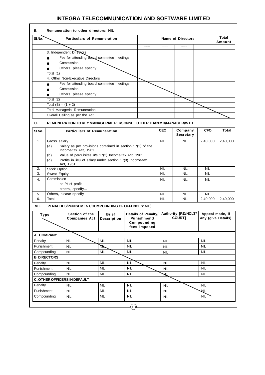| В.                                                    |                                                                    | Remuneration to other directors: NIL                                  |                                    |            |                                                                   |            |            |                               |            |                                       |
|-------------------------------------------------------|--------------------------------------------------------------------|-----------------------------------------------------------------------|------------------------------------|------------|-------------------------------------------------------------------|------------|------------|-------------------------------|------------|---------------------------------------|
| SI.No.                                                |                                                                    | <b>Particulars of Remuneration</b>                                    |                                    |            |                                                                   |            |            | <b>Name of Directors</b>      |            | Total<br>Amount                       |
|                                                       |                                                                    |                                                                       |                                    |            | .                                                                 |            | .          | .                             | .          |                                       |
|                                                       |                                                                    | 3. Independent Directors                                              |                                    |            |                                                                   |            |            |                               |            |                                       |
|                                                       | $\bullet$                                                          | Fee for attending board committee meetings                            |                                    |            |                                                                   |            |            |                               |            |                                       |
|                                                       |                                                                    | Commission                                                            |                                    |            |                                                                   |            |            |                               |            |                                       |
|                                                       | $\bullet$                                                          | Others, please specify                                                |                                    |            |                                                                   |            |            |                               |            |                                       |
|                                                       | Total (1)                                                          |                                                                       |                                    |            |                                                                   |            |            |                               |            |                                       |
|                                                       |                                                                    | 4. Other Non-Executive Directors                                      |                                    |            |                                                                   |            |            |                               |            |                                       |
|                                                       | ●                                                                  | Fee for attending board committee meetings                            |                                    |            |                                                                   |            |            |                               |            |                                       |
|                                                       |                                                                    | Commission                                                            |                                    |            |                                                                   |            |            |                               |            |                                       |
|                                                       | $\bullet$<br>Total (2)                                             | Others, please specify                                                |                                    |            |                                                                   |            |            |                               |            |                                       |
|                                                       | Total $(B) = (1 + 2)$                                              |                                                                       |                                    |            |                                                                   |            |            |                               |            |                                       |
|                                                       |                                                                    | <b>Total Managerial Remuneration</b>                                  |                                    |            |                                                                   |            |            |                               |            |                                       |
|                                                       |                                                                    | Overall Ceiling as per the Act                                        |                                    |            |                                                                   |            |            |                               |            |                                       |
|                                                       |                                                                    |                                                                       |                                    |            |                                                                   |            |            |                               |            |                                       |
| C.                                                    |                                                                    | REMUNERATION TO KEY MANAGERIAL PERSONNEL OTHER THAN MD/MANAGER/WTD    |                                    |            |                                                                   |            |            |                               |            |                                       |
| SI.No.                                                |                                                                    | <b>Particulars of Remuneration</b>                                    |                                    |            |                                                                   |            | <b>CEO</b> | Company<br>Secretary          | <b>CFO</b> | <b>Total</b>                          |
| 1.                                                    | Gross salary                                                       |                                                                       |                                    |            |                                                                   |            | <b>NIL</b> | <b>NIL</b>                    | 2,40,000   | 2,40,000                              |
|                                                       | (a)                                                                | Salary as per provisions contained in section 17(1) of the            |                                    |            |                                                                   |            |            |                               |            |                                       |
|                                                       |                                                                    | Income-tax Act, 1961                                                  |                                    |            |                                                                   |            |            |                               |            |                                       |
|                                                       | (b)                                                                | Value of perquisites u/s 17(2) Income-tax Act, 1961                   |                                    |            |                                                                   |            |            |                               |            |                                       |
|                                                       | (c)                                                                | Profits in lieu of salary under section 17(3) Income-tax<br>Act, 1961 |                                    |            |                                                                   |            |            |                               |            |                                       |
| 2.                                                    | Stock Option                                                       |                                                                       |                                    |            |                                                                   |            | <b>NIL</b> | <b>NIL</b>                    | <b>NIL</b> |                                       |
| 3.                                                    | Sweat Equity                                                       |                                                                       |                                    |            |                                                                   |            | <b>NIL</b> | <b>NIL</b>                    | <b>NIL</b> |                                       |
| 4.                                                    | Commission                                                         |                                                                       |                                    |            |                                                                   |            | <b>NIL</b> | <b>NIL</b>                    | <b>NIL</b> |                                       |
|                                                       |                                                                    | as % of profit                                                        |                                    |            |                                                                   |            |            |                               |            |                                       |
|                                                       |                                                                    | others, specify                                                       |                                    |            |                                                                   |            |            |                               |            |                                       |
| 5.                                                    |                                                                    | Others, please specify                                                |                                    |            |                                                                   |            | NIL        | NIL                           | NIL        |                                       |
| 6.                                                    | Total                                                              |                                                                       |                                    |            |                                                                   |            | <b>NIL</b> | <b>NIL</b>                    | 2,40,000   | 2,40,000                              |
| VII.                                                  |                                                                    | PENALTIES/PUNISHMENT/COMPOUNDING OF OFFENCES: NIL)                    |                                    |            |                                                                   |            |            |                               |            |                                       |
|                                                       | Type                                                               | Section of the<br><b>Companies Act</b>                                | <b>Brief</b><br><b>Description</b> |            | Details of Penalty/<br>Punishment/<br>Compounding<br>tees imposed |            |            | Authority [RD/NCLT/<br>COURT] |            | Appeal made, if<br>any (give Details) |
|                                                       | A. COMPANY                                                         |                                                                       |                                    |            |                                                                   |            |            |                               |            |                                       |
| Penalty                                               |                                                                    | NIL                                                                   | <b>NIL</b>                         | <b>NIL</b> |                                                                   |            | <b>NIL</b> |                               | <b>NIL</b> |                                       |
| Punishment                                            |                                                                    | <b>NIL</b>                                                            | ℕ                                  | <b>NIL</b> |                                                                   | <b>NIL</b> |            | <b>NIL</b>                    |            |                                       |
|                                                       | Compounding<br><b>NIL</b>                                          |                                                                       | <b>NIL</b>                         | <b>NIL</b> |                                                                   | <b>NIL</b> |            | <b>NIL</b>                    |            |                                       |
|                                                       | <b>B. DIRECTORS</b>                                                |                                                                       |                                    |            |                                                                   |            |            |                               |            |                                       |
| Penalty                                               |                                                                    | <b>NIL</b>                                                            | <b>NIL</b>                         | <b>NIL</b> |                                                                   |            | <b>NIL</b> |                               | <b>NIL</b> |                                       |
| <b>NIL</b><br><b>NIL</b><br>Punishment<br><b>NIL</b>  |                                                                    |                                                                       |                                    | <b>NIL</b> |                                                                   | <b>NIL</b> |            |                               |            |                                       |
| <b>NIL</b><br><b>NIL</b><br><b>NIL</b><br>Compounding |                                                                    |                                                                       |                                    | NL         |                                                                   | <b>NIL</b> |            |                               |            |                                       |
|                                                       | C. OTHER OFFICERS IN DEFAULT                                       |                                                                       |                                    |            |                                                                   |            |            |                               |            |                                       |
| Penalty                                               | <b>NIL</b><br><b>NIL</b><br><b>NIL</b><br><b>NIL</b><br><b>NIL</b> |                                                                       |                                    |            |                                                                   |            |            |                               |            |                                       |
| Punishment                                            |                                                                    | <b>NIL</b>                                                            | NIL                                | <b>NIL</b> |                                                                   |            | <b>NIL</b> |                               | ÆГ         |                                       |
|                                                       | Compounding                                                        | <b>NIL</b>                                                            | <b>NIL</b>                         | NIL        |                                                                   |            | <b>NIL</b> |                               | <b>NIL</b> |                                       |
|                                                       |                                                                    |                                                                       |                                    |            |                                                                   |            |            |                               |            |                                       |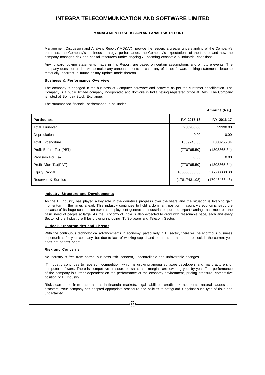#### **MANAGEMENT DISCUSSION AND ANALYSIS REPORT**

Management Discussion and Analysis Report ("MD&A") provide the readers a greater understanding of the Company's business, the Company's business strategy, performance, the Company's expectations of the future, and how the company manages risk and capital resources under ongoing / upcoming economic & industrial conditions.

Any forward looking statements made in this Report, are based on certain assumptions and of future events. The company does not undertake to make any announcements in case any of these forward looking statements become materially incorrect in future or any update made thereon.

#### **Business & Performance Overview**

The company is engaged in the business of Computer hardware and software as per the customer specification. The Company is a public limited company incorporated and domicile in India having registered office at Delhi. The Company is listed at Bombay Stock Exchange.

The summarized financial performance is as under :-

|                          |               | Amount (Rs.)  |
|--------------------------|---------------|---------------|
| <b>Particulars</b>       | F.Y 2017-18   | F.Y 2016-17   |
| <b>Total Turnover</b>    | 238280.00     | 29390.00      |
| Depreciation             | 0.00          | 0.00          |
| <b>Total Expenditure</b> | 1009245.50    | 1338255.34    |
| Profit Before Tax (PBT)  | (770765.50)   | (1308865.34)  |
| Provision For Tax        | 0.00          | 0.00          |
| Profit After Tax(PAT)    | (770765.50)   | (1308865.34)  |
| <b>Equity Capital</b>    | 105600000.00  | 105600000.00  |
| Reserves & Surplus       | (17817431.98) | (17046466.48) |
|                          |               |               |

#### **Industry Structure and Developments**

As the IT industry has played a key role in the country's progress over the years and the situation is likely to gain momentum in the times ahead. This industry continues to hold a dominant position in country's economic structure because of its huge contribution towards employment generation, industrial output and export earnings and meet out the basic need of people at large. As the Economy of India is also expected to grow with reasonable pace, each and every Sector of the Industry will be growing including IT, Software and Telecom Sector.

#### **Outlook, Opportunities and Threats**

With the continuous technological advancements in economy, particularly in IT sector, there will be enormous business opportunities for your company, but due to lack of working capital and no orders in hand, the outlook in the current year does not seems bright.

#### **Risk and Concerns**

No industry is free from normal business risk ,concern, uncontrollable and unfavorable changes.

IT Industry continues to face stiff competition, which is growing among software developers and manufacturers of computer software. There is competitive pressure on sales and margins are lowering year by year. The performance of the company is further dependent on the performance of the economy environment, pricing pressure, competitive position of IT Industry.

Risks can come from uncertainties in financial markets, legal liabilities, credit risk, accidents, natural causes and disasters. Your company has adopted appropriate procedure and policies to safeguard it against such type of risks and uncertainty.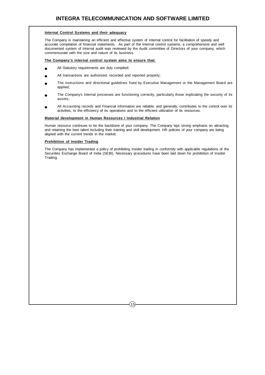#### **Internal Control Systems and their adequacy**

The Company is maintaining an efficient and effective system of Internal control for facilitation of speedy and accurate compilation of financial statements. As part of the internal control systems, a comprehensive and well documented system of internal audit was reviewed by the Audit committee of Directors of your company, which commensurate with the size and nature of its business.

#### **The Company's internal control system aims to ensure that:**

- All Statutory requirements are duly complied;
- All transactions are authorized, recorded and reported properly;
- The instructions and directional guidelines fixed by Executive Management or the Management Board are applied;
- The Company's internal processes are functioning correctly, particularly those implicating the security of its assets;
- All Accounting records and Financial information are reliable; and generally, contributes to the control over its activities, to the efficiency of its operations and to the efficient utilization of its resources.

#### **Material development in Human Resources / Industrial Relation**

Human resource continues to be the backbone of your company. The Company lays strong emphasis on attracting and retaining the best talent including their training and skill development. HR policies of your company are being aligned with the current trends in the market.

#### **Prohibition of Insider Trading**

The Company has implemented a policy of prohibiting Insider trading in conformity with applicable regulations of the Securities Exchange Board of India (SEBI). Necessary procedures have been laid down for prohibition of Insider Trading.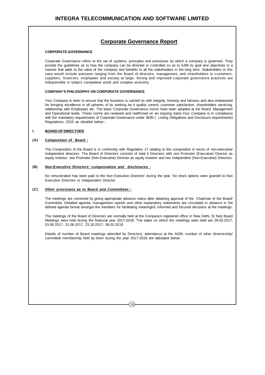### **Corporate Governance Report**

#### **CORPORATE GOVERNANCE**

Corporate Governance refers to the set of systems, principles and processes by which a company is governed. They provide the guidelines as to how the company can be directed or controlled so as to fulfill its goal and objectives in a manner that adds to the value of the company and benefits to all the stakeholders in the long term. Stakeholders in this case would include everyone ranging from the Board of directors, management, and shareholders to customers, suppliers, financers, employees and society at large. Strong and improved corporate governance practices are indispensible in today's competitive world and complex economy.

#### **COMPANY'S PHILOSOPHY ON CORPORATE GOVERNANCE**

Your Company is keen to ensure that the business is carried on with integrity, honesty and fairness and also endeavored for bringing excellence in all spheres of its working be it quality control, customer satisfaction, shareholders servicing, relationship with Employees etc. The basic Corporate Governance norms have been adopted at the Board, Management and Operational levels. These norms are reviewed and reaffirmed on an ongoing basis.Your Company is in compliance with the mandatory requirements of Corporate Governance under SEBI (Listing Obligations and Disclosure requirements) Regulations, 2015 as detailed below:-

#### **I. BOARD OF DIRECTORS**

#### **(A) Composition of Board :**

The Composition of the Board is in conformity with Regulation 17 relating to the composition in terms of non-executive/ Independent directors. The Board of Directors consists of total 4 Directors with one Promoter (Executive) Director as equity investor, one Promoter (Non-Executive) Director as equity investor and two Independent (Non-Executive) Directors.

#### **(B) Non-Executive Directors' compensation and disclosures :**

No remuneration has been paid to the Non Executive Directors' during the year. No stock options were granted to Non Executive Directors or Independent Director.

#### **(C) Other provisions as to Board and Committees :**

The meetings are convened by giving appropriate advance notice after obtaining approval of the Chairman of the Board/ Committee. Detailed agenda, management reports and other explanatory statements are circulated in advance in the defined agenda format amongst the members for facilitating meaningful, informed and focused decisions at the meetings.

The meetings of the Board of Directors are normally held at the Company's registered office in New Delhi, 5( five) Board Meetings were held during the financial year 2017-2018. The dates on which the meetings were held are 29.05.2017, 03.08.2017, 31.08.2017, 23.10.2017, 06.02.2018

Details of number of Board meetings attended by Directors, attendance at the AGM, number of other directorship/ committee membership held by them during the year 2017-2018 are tabulated below: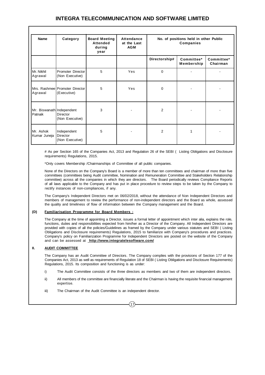| <b>Name</b>                          | Category                                      | <b>Board Meeting</b><br><b>Attended</b><br>during<br>year | Attendance<br>at the Last<br><b>AGM</b> | No. of positions held in other Public<br><b>Companies</b> |                          |                        |
|--------------------------------------|-----------------------------------------------|-----------------------------------------------------------|-----------------------------------------|-----------------------------------------------------------|--------------------------|------------------------|
|                                      |                                               |                                                           |                                         | Directorship#                                             | Committee*<br>Membership | Committee*<br>Chairman |
| Mr. Nikhil<br>Agrawal                | Promoter Director<br>(Non Executive)          | 5                                                         | Yes                                     | $\mathbf 0$                                               |                          |                        |
| Agrawal                              | Mrs. Rashmee Promoter Director<br>(Executive) | 5                                                         | Yes                                     | 0                                                         |                          |                        |
| Mr. Biswanath Independent<br>Patnaik | <b>Director</b><br>(Non Executive)            | 3                                                         |                                         | $\overline{2}$                                            |                          |                        |
| Mr. Ashok<br>Kumar Juneja            | Independent<br>Director<br>(Non Executive)    | 5                                                         |                                         | $\overline{2}$                                            | 1                        |                        |

# As per Section 165 of the Companies Act, 2013 and Regulation 26 of the SEBI ( Listing Obligations and Disclosure requirements) Regulations, 2015.

\*Only covers Membership /Chairmanships of Committee of all public companies.

None of the Directors on the Company's Board is a member of more than ten committees and chairman of more than five committees (committees being Audit committee, Nomination and Remuneration Committee and Stakeholders Relationship committee) across all the companies in which they are directors. The Board periodically reviews Compliance Reports of all laws applicable to the Company and has put in place procedure to review steps to be taken by the Company to rectify instances of non-compliances, if any.

The Company's Independent Directors met on 06/02/2018, without the attendance of Non Independent Directors and members of management to review the performance of non-independent directors and the Board as whole, assessed the quality and timeliness of flow of information between the Company management and the Board.

#### **(D) Familiarisation Programme for Board Members :**

The Company at the time of appointing a Director, issues a formal letter of appointment which inter alia, explains the role, functions, duties and responsibilities expected from him/her as a Director of the Company. All Independent Directors are provided with copies of all the policies/Guidelines as framed by the Company under various statutes and SEBI ( Listing Obligations and Disclosure requirements) Regulations, 2015 to familiarize with Company's procedures and practices. Company's policy on Familiarization Programme for Independent Directors are posted on the website of the Company and can be assessed at **http://www.integratelesoftware.com/**

#### **II. AUDIT COMMITTEE**

The Company has an Audit Committee of Directors. The Company complies with the provisions of Section 177 of the Companies Act, 2013 as well as requirements of Regulation 18 of SEBI ( Listing Obligations and Disclosure Requirements) Regulations, 2015. Its composition and functioning is as under:

- i) The Audit Committee consists of the three directors as members and two of them are independent directors.
- ii) All members of the committee are financially literate and the Chairman is having the requisite financial management expertise.

 $17$ 

iii) The Chairman of the Audit Committee is an independent director.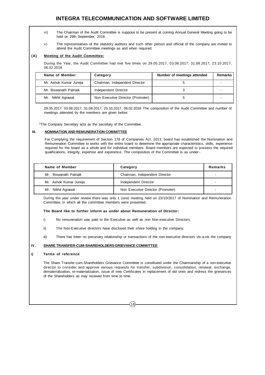- vi) The Chairman of the Audit Committee is suppose to be present at coming Annual General Meeting going to be held on 29th September, 2018.
- v) The representatives of the statutory auditors and such other person and official of the company are invited to attend the Audit Committee meetings as and when required.

#### **(A) Meeting of the Audit Committee:**

During the Year, the Audit Committee had met five times on 29.05.2017, 03.08.2017, 31.08.2017, 23.10.2017, 06.02.2018

| Name of Member         | Category                          | Number of meetings attended | <b>Remarks</b> |
|------------------------|-----------------------------------|-----------------------------|----------------|
| Mr. Ashok Kumar Juneja | Chairman, Independent Director    |                             |                |
| Mr. Biswanath Patnaik  | Independent Director              |                             |                |
| Mr. Nikhil Agrawal     | Non Executive Director (Promoter) |                             |                |

29.05.2017, 03.08.2017, 31.08.2017, 23.10.2017, 06.02.2018 The composition of the Audit Committee and number of meetings attended by the members are given below:

\*The Company Secretary acts as the secretary of the Committee.

#### **III. NOMINATION AND REMUNERATION COMMITTEE**

For Complying the requirement of Section 178 of Companies Act, 2013, board has established the Nomination and Remuneration Committee to works with the entire board to determine the appropriate characteristics, skills, experience required for the board as a whole and for individual members. Board members are expected to possess the required qualifications, integrity, expertise and experience. The composition of the Committee is as under:-

| Name of Member         | Category                          | Remarks |
|------------------------|-----------------------------------|---------|
| Mr. Biswanath Patnaik  | Chairman, Independent Director    |         |
| Mr. Ashok Kumar Juneja | Independent Director              |         |
| Mr. Nikhil Agrawal     | Non Executive Director (Promoter) |         |

During the year under review there was only 1 (one) meeting held on 23/10/2017 of Nomination and Remuneration Committee, in which all the committee members were presented.

#### **The Board like to further inform as under about Remuneration of Director:**

- i) No remuneration was paid to the Executive as well as non Non-executive Directors.
- ii) The Non-Executive directors have disclosed their share holding in the company.
- iii) There has been no pecuniary relationship or transactions of the non-executive directors vis-a-vis the company

#### **IV. SHARE TRANSFER-CUM-SHAREHOLDERS GRIEVANCE COMMITTEE**

#### **i) Terms of reference**

The Share Transfer-cum-Shareholders Grievance Committee is constituted under the Chairmanship of a non-executive director to consider and approve various requests for transfer, subdivision, consolidation, renewal, exchange, dematerialization, re-materialization, issue of new Certificates in replacement of old ones and redress the grievances of the Shareholders as may received from time to time.

 $(18)$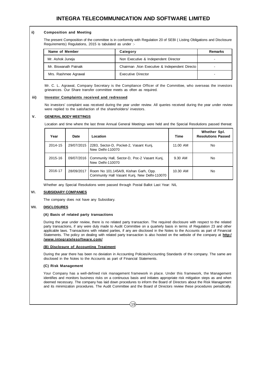#### i**i) Composition and Meeting**

The present Composition of the committee is in conformity with Regulation 20 of SEBI ( Listing Obligations and Disclosure Requirements) Regulations, 2015 is tabulated as under :-

| Name of Member        | Category                                      | Remarks |
|-----------------------|-----------------------------------------------|---------|
| Mr. Ashok Juneja      | Non Executive & Independent Director          |         |
| Mr. Biswanath Patnaik | Chairman, Non Executive & Independent Directo |         |
| Mrs. Rashmee Agrawal  | Executive Director                            |         |

Mr. C. L. Agrawal, Company Secretary is the Compliance Officer of the Committee, who overseas the investors grievances. Our Share transfer committee meets as often as required.

#### **iii) Investor Complaints received and redressed**

No investors' complaint was received during the year under review. All queries received during the year under review were replied to the satisfaction of the shareholders/ investors.

#### **V. GENERAL BODY MEETINGS**

Location and time where the last three Annual General Meetings were held and the Special Resolutions passed thereat:

| Year    | Date       | Location                                                                              | Time     | Whether Spl.<br><b>Resolutions Passed</b> |
|---------|------------|---------------------------------------------------------------------------------------|----------|-------------------------------------------|
| 2014-15 | 29/07/2015 | 2283, Sector-D, Pocket-2, Vasant Kuni,<br>New Delhi-110070                            | 11.00 AM | No                                        |
| 2015-16 | 09/07/2016 | Community Hall, Sector-D, Poc-2 Vasant Kunj,<br>New Delhi-110070                      | 9.30 AM  | No                                        |
| 2016-17 | 28/09/2017 | Room No 101.145A/9, Kishan Garh, Opp.<br>Community Hall Vasant Kunj, New Delhi-110070 | 10.30 AM | <b>No</b>                                 |

Whether any Special Resolutions were passed through Postal Ballot Last Year: NIL

#### **VI. SUBSIDIARY COMPANIES**

The company does not have any Subsidiary.

#### **VII. DISCLOSURES**

#### **(A) Basis of related party transactions**

During the year under review, there is no related party transaction. The required disclosure with respect to the related party transactions, if any were duly made to Audit Committee on a quarterly basis in terms of Regulation 23 and other applicable laws. Transactions with related parties, if any are disclosed in the Notes to the Accounts as part of Financial Statements. The policy on dealing with related party transaction is also hosted on the website of the company at **http:/ /www.integratelesoftware.com/**

#### **(B) Disclosure of Accounting Treatment**

During the year there has been no deviation in Accounting Policies/Accounting Standards of the company. The same are disclosed in the Notes to the Accounts as part of Financial Statements.

#### **(C) Risk Management**

Your Company has a well-defined risk management framework in place. Under this framework, the Management identifies and monitors business risks on a continuous basis and initiates appropriate risk mitigation steps as and when deemed necessary. The company has laid down procedures to inform the Board of Directors about the Risk Management and its minimization procedures. The Audit Committee and the Board of Directors review these procedures periodically.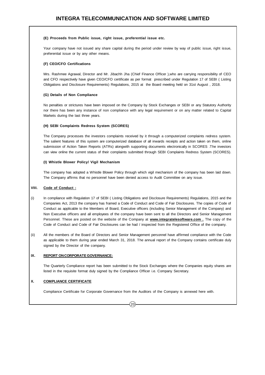#### **(E) Proceeds from Public issue, right issue, preferential issue etc.**

Your company have not issued any share capital during the period under review by way of public issue, right issue, preferential issue or by any other means.

#### **(F) CEO/CFO Certifications**

Mrs. Rashmee Agrawal, Director and Mr. Jibachh Jha (Chief Finance Officer ),who are carrying responsibility of CEO and CFO respectively have given CEO/CFO certificate as per format prescribed under Regulation 17 of SEBI ( Listing Obligations and Disclosure Requirements) Regulations, 2015 at the Board meeting held on 31st August , 2018.

#### **(G) Details of Non Compliance**

No penalties or strictures have been imposed on the Company by Stock Exchanges or SEBI or any Statutory Authority nor there has been any instance of non compliance with any legal requirement or on any matter related to Capital Markets during the last three years.

#### **(H) SEBI Complaints Redress System (SCORES)**

The Company processes the investors complaints received by it through a computerized complaints redress system. The salient features of this system are computerized database of all inwards receipts and action taken on them, online submission of Action Taken Reports (ATRs) alongwith supporting documents electronically in SCORES .The investors can view online the current status of their complaints submitted through SEBI Complaints Redress System (SCORES).

#### **(I) Whistle Blower Policy/ Vigil Mechanism**

The company has adopted a Whistle Blower Policy through which vigil mechanism of the company has been laid down. The Company affirms that no personnel have been denied access to Audit Committee on any issue.

#### **VIII. Code of Conduct :**

- (i) In compliance with Regulation 17 of SEBI ( Listing Obligations and Disclosure Requirements) Regulations, 2015 and the Companies Act, 2013 the company has framed a Code of Conduct and Code of Fair Disclosures. The copies of Code of Conduct as applicable to the Members of Board, Executive officers (including Senior Management of the Company) and Non Executive officers and all employees of the company have been sent to all the Directors and Senior Management Personnel. These are posted on the website of the Company at **www.integratelesoftware.com .** The copy of the Code of Conduct and Code of Fair Disclosures can be had / inspected from the Registered Office of the company.
- (ii) All the members of the Board of Directors and Senior Management personnel have affirmed compliance with the Code as applicable to them during year ended March 31, 2018. The annual report of the Company contains certificate duly signed by the Director of the company.

#### **IX. REPORT ON CORPORATE GOVERNANCE:**

The Quarterly Compliance report has been submitted to the Stock Exchanges where the Companies equity shares are listed in the requisite format duly signed by the Compliance Officer i.e. Company Secretary.

#### **X. COMPLIANCE CERTIFICATE**

Compliance Certificate for Corporate Governance from the Auditors of the Company is annexed here with.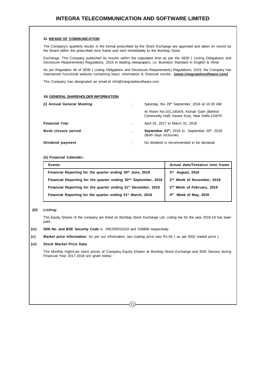#### **XI. MEANS OF COMMUNICATION**

The Company's quarterly results in the format prescribed by the Stock Exchange are approved and taken on record by the Board within the prescribed time frame and sent immediately to the Bombay Stock

Exchange. The Company published its results within the stipulated time as per the SEBI ( Listing Obligations and Disclosure Requirements) Regulations, 2015 in leading newspapers, i.e. Business Standard in English & Hindi.

As per Regulation 46 of SEBI ( Listing Obligations and Disclosure Requirements) Regulations, 2015, the Company has maintained functional website containing basic information & financial results. **(www.integratelesoftware.com)**

The Company has designated an email-id info@integratelesoftware.com

#### **XII. GENERAL SHAREHOLDER INFORMATION**

| (i) Annual General Meeting |   | Saturday, the 29 <sup>th</sup> September, 2018 at 10.30 AM                                      |
|----------------------------|---|-------------------------------------------------------------------------------------------------|
|                            |   | At Room No-101,145A/9, Kishan Garh (Behind<br>Community Hall) Vasant Kunj, New Delhi-110070     |
| <b>Financial Year</b>      |   | April 01, 2017 to March 31, 2018                                                                |
| Book closure period        | ÷ | September 22 <sup>th</sup> , 2018 to September 29 <sup>th</sup> , 2018<br>(Both days inclusive) |
| Dividend payment           | ÷ | No dividend is recommended to be declared.                                                      |

**(ii) Financial Calendar:-**

| <b>Events</b>                                                                | Actual date/Tentative time frame       |
|------------------------------------------------------------------------------|----------------------------------------|
| Financial Reporting for the quarter ending 30th June, 2018                   | <b>August, 2018</b><br>3 <sup>rd</sup> |
| Financial Reporting for the quarter ending 30 <sup>tth</sup> September, 2018 | 2 <sup>nd</sup> Week of November, 2018 |
| Financial Reporting for the quarter ending 31 <sup>st</sup> December, 2018   | 2 <sup>nd</sup> Week of February, 2019 |
| Financial Reporting for the quarter ending 31 <sup>st</sup> March, 2019      | Week of May, 2019<br>4 <sup>th</sup>   |

#### **(iii) Listing:**

The Equity Shares of the company are listed on Bombay Stock Exchange Ltd. Listing fee for the year 2018-19 has been paid.

**(iv) ISIN No. and BSE Security Code** is INE256F01019 and 536868 respectively.

**(v) Market price information:** As per our information, last trading price was Rs.56 ( as per BSE traded price ).

#### **(vi) Stock Market Price Data**

The Monthly High/Low stock prices of Company Equity Shares at Bombay Stock Exchange and BSE Sensex during Financial Year 2017-2018 are given below :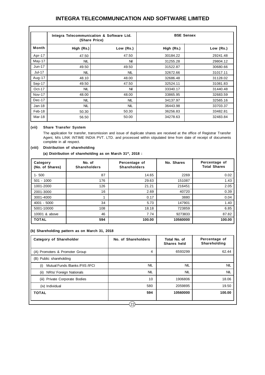|               | Integra Telecommunication & Software Ltd.<br>(Share Price) |            | <b>BSE Sensex</b> |           |  |
|---------------|------------------------------------------------------------|------------|-------------------|-----------|--|
| Month         | High (Rs.)                                                 | Low (Rs.)  | High (Rs.)        | Low (Rs.) |  |
| Apr-17        | 47.50                                                      | 47.50      | 30184.22          | 29241.48  |  |
| May-17        | <b>NIL</b>                                                 | Nil        | 31255.28          | 29804.12  |  |
| $Jun-17$      | 49.50                                                      | 49.50      | 31522.87          | 30680.66  |  |
| Jul-17        | <b>NIL</b>                                                 | <b>NIL</b> | 32672.66          | 31017.11  |  |
| Aug-17        | 48.10                                                      | 48.00      | 32686.48          | 31128.02  |  |
| Sep-17        | 49.50                                                      | 47.50      | 32524.11          | 31081.83  |  |
| $Oct-17$      | <b>NIL</b>                                                 | Nil        | 33340.17          | 31440.48  |  |
| <b>Nov-17</b> | 48.00                                                      | 48.00      | 33865.95          | 32683.59  |  |
| Dec-17        | <b>NIL</b>                                                 | <b>NIL</b> | 34137.97          | 32565.16  |  |
| $Jan-18$      | <b>NIL</b>                                                 | <b>NIL</b> | 36443.98          | 33703.37  |  |
| Feb-18        | 50.30                                                      | 50.30      | 36256.83          | 33482.81  |  |
| Mar-18        | 56.50                                                      | 50.00      | 34278.63          | 32483.84  |  |

#### **(vii) Share Transfer System**

The application for transfer, transmission and issue of duplicate shares are received at the office of Registrar Transfer Agent, M/s LINK INTIME INDIA PVT. LTD. and processed within stipulated time from date of receipt of documents complete in all respect.

#### **(viii) Distribution of shareholding**

**(a) Distribution of shareholding as on March 31st, 2018 :**

| Category<br>(No. of Shares) | No. of<br><b>Shareholders</b> | Percentage of<br><b>Shareholders</b> | No. Shares | Percentage of<br><b>Total Shares</b> |
|-----------------------------|-------------------------------|--------------------------------------|------------|--------------------------------------|
| $1 - 500$                   | 87                            | 14.65                                | 2269       | 0.02                                 |
| $501 - 1000$                | 176                           | 29.63                                | 151087     | 1.43                                 |
| 1001-2000                   | 126                           | 21.21                                | 216451     | 2.05                                 |
| 2001-3000                   | 16                            | 2.69                                 | 40720      | 0.39                                 |
| 3001-4000                   |                               | 0.17                                 | 3880       | 0.04                                 |
| 4001 - 5000                 | 34                            | 5.73                                 | 147901     | 1.40                                 |
| 5001-10000                  | 108                           | 18.18                                | 723859     | 6.85                                 |
| 10001 & above               | 46                            | 7.74                                 | 9273833    | 87.82                                |
| <b>TOTAL</b>                | 594                           | 100.00                               | 10560000   | 100.00                               |

#### **(b) Shareholding pattern as on March 31, 2018**

| <b>Category of Shareholder</b>         | No. of Shareholders | Total No. of<br>Shares held | Percentage of<br>Shareholding |
|----------------------------------------|---------------------|-----------------------------|-------------------------------|
| (A) Promoters & Promoter Group         | 4                   | 6593299                     | 62.44                         |
| (B) Public shareholding                |                     |                             |                               |
| Mutual Funds /Banks /FIIS /IFCI<br>(i) | NIL                 | <b>NIL</b>                  | <b>NIL</b>                    |
| NRIs/ Foreign Nationals<br>(ii)        | NIL                 | <b>NIL</b>                  | <b>NIL</b>                    |
| (iii) Private Corporate Bodies         | 10                  | 1906806                     | 18.06                         |
| (iv) Individual                        | 580                 | 2059895                     | 19.50                         |
| <b>TOTAL</b>                           | 594                 | 10560000                    | 100.00                        |
|                                        | 22                  |                             |                               |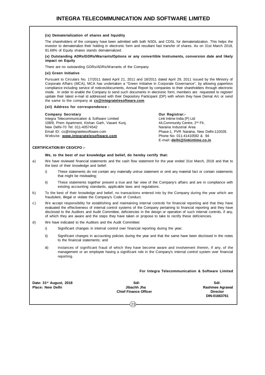#### **(ix) Dematerialization of shares and liquidity**

The shareholders of the company have been admitted with both NSDL and CDSL for dematerialization. This helps the investor to dematerialize their holding in electronic form and resultant fast transfer of shares. As on 31st March 2018, 81.68% of Equity shares stands dematerialized.

#### **(x) Outstanding ADRs/GDRs/Warrants/Options or any convertible Instruments, conversion date and likely impact on Equity**

There are no outstanding GDRs/ADRs/Warrants of the Company.

#### **(xi) Green Initiative**

Pursuant to Circulars No. 17/2011 dated April 21, 2011 and 18/2011 dated April 29, 2011 issued by the Ministry of Corporate Affairs (MCA), MCA has undertaken a "Green Initiative in Corporate Governance", by allowing paperless compliance including service of notices/documents, Annual Report by companies to their shareholders through electronic mode. In order to enable the Company to send such documents in electronic form, members are requested to register/ update their latest e-mail id addressed with their Depository Participant (DP) with whom they have Demat A/c or send the same to the company at **cs@integratelesoftware.com**

#### **(xii) Address for correspondence :**

#### **Company Secretary Company Secretary Company Secretary Company Secretary COMPANY**

Integra Telecommunication & Software Limited Link Intime India (P) Ltd<br>108/9, Prem Apartment, Kishan Garh, Vasant Kunj, 1998 Marchandale Automunity Centre, 2<sup>nd</sup> Flr, 108/9, Prem Apartment, Kishan Garh, Vasant Kunj, New Delhi-70 Tel: 011-40574542 Naraina Industrial Area Email ID: cs@integratelesoftware.com **Phase-1, PVR Naraina, New Delhi-110028.**<br>Website: www.integratelesoftware.com Phone No-011-41410592 & 94 Website: www.integratelesoftware.com

E-mail:-**delhi@linkintime.co.in**

#### **CERTIFICATION BY CEO/CFO :-**

#### **We, to the best of our knowledge and belief, do hereby certify that:**

- a) We have reviewed financial statements and the cash flow statement for the year ended 31st March, 2018 and that to the best of their knowledge and belief:
	- i) These statements do not contain any materially untrue statement or omit any material fact or contain statements that might be misleading:
	- ii) These statements together present a true and fair view of the Company's affairs and are in compliance with existing accounting standards, applicable laws and regulations.
- b) To the best of their knowledge and belief, no transactions entered into by the Company during the year which are fraudulent, illegal or violate the Company's Code of Conduct.
- c) We accept responsibility for establishing and maintaining internal controls for financial reporting and that they have evaluated the effectiveness of internal control systems of the Company pertaining to financial reporting and they have disclosed to the Auditors and Audit Committee, deficiencies in the design or operation of such internal controls, if any, of which they are aware and the steps they have taken or propose to take to rectify these deficiencies.
- d) We have indicated to the Auditors and the Audit Committee:
	- i) Significant changes in internal control over financial reporting during the year;
	- ii) Significant changes in accounting policies during the year and that the same have been disclosed in the notes to the financial statements; and
	- iii) Instances of significant fraud of which they have become aware and involvement therein, if any, of the management or an employee having a significant role in the Company's internal control system over financial reporting.

#### **For Integra Telecommunication & Software Limited**

**Date: 31st August, 2018 Sd/- Sd/-**

Place: New Delhi **Place: New Delhi** and the Schief Finance Officer and the Chief Finance Officer and the Chief Finance Officer and the Director of the Director **Chief Finance Officer** 

 **DIN-01663761**

 $(23)$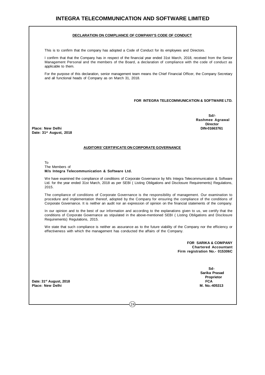#### **DECLARATION ON COMPLIANCE OF COMPANY'S CODE OF CONDUCT**

This is to confirm that the company has adopted a Code of Conduct for its employees and Directors.

I confirm that that the Company has in respect of the financial year ended 31st March, 2018, received from the Senior Management Personal and the members of the Board, a declaration of compliance with the code of conduct as applicable to them.

For the purpose of this declaration, senior management team means the Chief Financial Officer, the Company Secretary and all functional heads of Company as on March 31, 2018.

#### **FOR INTEGRA TELECOMMUNICATION & SOFTWARE LTD.**

**Place: New Delhi DIN-01663761 Date: 31st August, 2018**

**Sd/- Rashmee Agrawal Director**

#### **AUDITORS' CERTIFICATE ON CORPORATE GOVERNANCE**

#### To The Members of **M/s Integra Telecommunication & Software Ltd.**

We have examined the compliance of conditions of Corporate Governance by M/s Integra Telecommunication & Software Ltd. for the year ended 31st March, 2018 as per SEBI ( Listing Obligations and Disclosure Requirements) Regulations, 2015.

The compliance of conditions of Corporate Governance is the responsibility of management. Our examination to procedure and implementation thereof, adopted by the Company for ensuring the compliance of the conditions of Corporate Governance. It is neither an audit nor an expression of opinion on the financial statements of the company.

In our opinion and to the best of our information and according to the explanations given to us, we certify that the conditions of Corporate Governance as stipulated in the above-mentioned SEBI ( Listing Obligations and Disclosure Requirements) Regulations, 2015.

We state that such compliance is neither as assurance as to the future viability of the Company nor the efficiency or effectiveness with which the management has conducted the affairs of the Company.

> **FOR SARIKA & COMPANY Chartered Accountant Firm registration No.- 015306C**

> > **Sd- Sarika Prasad Proprietor**

**Date: 31st August, 2018 FCA Place: New Delhi** 

 $(24)$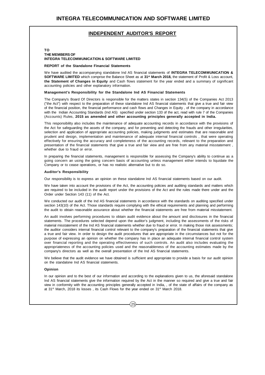### **INDEPENDENT AUDITOR'S REPORT**

#### **TO**

#### **THE MEMBERS OF INTEGRA TELECOMMUNICATION & SOFTWARE LIMITED**

#### **REPORT of the Standalone Financial Statements**

We have audited the accompanying standalone Ind AS financial statements of **INTEGRA TELECOMMUNICATION & SOFTWARE LIMITED** which comprise the Balance Sheet as at **31st March 2018,** the statement of Profit & Loss account, **the Statement of Changes in Equity** and Cash flows statement for the year ended and a summary of significant accounting policies and other explanatory information.

#### **Management's Responsibility for the Standalone Ind AS Financial Statements**

The Company's Board Of Directors is responsible for the matters states in section 134(5) of the Companies Act 2013 ("the Act") with respect to the preparation of these standalone Ind AS financial statements that give a true and fair view of the financial position, the financial performance and cash flows and Changes in Equity , of the company in accordance with the Indian Accounting Standards (Ind AS) specified under section 133 of the act, read with rule 7 of the Companies (Accounts) Rules, **2015 as amended and other accounting principles generally accepted in India.**

This responsibility also includes the maintenance of adequate accounting records in accordance with the provisions of the Act for safeguarding the assets of the company, and for preventing and detecting the frauds and other irregularities, selection and application of appropriate accounting policies, making judgments and estimates that are reasonable and prudent and design, implementation and maintenance of adequate internal financial controls , that were operating effectively for ensuring the accuracy and completeness of the accounting records, relevant to the preparation and presentation of the financial statements that give a true and fair view and are free from any material misstatement , whether due to fraud or error.

In preparing the financial statements, management is responsible for assessing the Company's ability to continue as a going concern an using the going concern basis of accounting unless management either intends to liquidate the Company or to cease operations, or has no realistic alternative but to do so.

#### **Auditor's Responsibility**

Our responsibility is to express an opinion on these standalone Ind AS financial statements based on our audit.

We have taken into account the provisions of the Act, the accounting policies and auditing standards and matters which are required to be included in the audit report under the provisions of the Act and the rules made there under and the Order under Section 143 (11) of the Act.

We conducted our audit of the Ind AS financial statements in accordance with the standards on auditing specified under section 143(10) of the Act. Those standards require complying with the ethical requirements and planning and performing the audit to obtain reasonable assurance about whether the financial statements are free from material misstatement.

An audit involves performing procedures to obtain audit evidence about the amount and disclosures in the financial statements. The procedures selected depend upon the auditor's judgment, including the assessments of the risks of material misstatement of the Ind AS financial statements whether due to fraud or error. In making those risk assessments; the auditor considers internal financial control relevant to the company's preparation of the financial statements that give a true and fair view. In order to design the audit procedures that are appropriate in the circumstances but not for the purpose of expressing an opinion on whether the company has in place an adequate internal financial control system over financial reporting and the operating effectiveness of such controls. An audit also includes evaluating the appropriateness of the accounting policies used and the reasonableness of the accounting estimates made by the company's directors as well as the overall presentation of the Ind AS financial statements.

We believe that the audit evidence we have obtained is sufficient and appropriate to provide a basis for our audit opinion on the standalone Ind AS financial statements.

#### **Opinion**

In our opinion and to the best of our information and according to the explanations given to us, the aforesaid standalone Ind AS financial statements give the information required by the Act in the manner so required and give a true and fair view in conformity with the accounting principles generally accepted in India, , of the state of affairs of the company as at 31<sup>st</sup> March, 2018 its losses, its Cash Flows for the year ended on 31<sup>st</sup> March 2018.

 $25$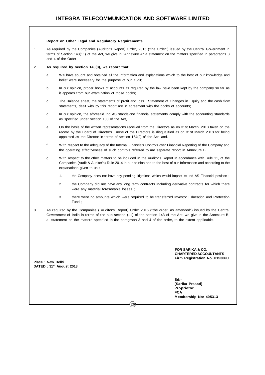#### **Report on Other Legal and Regulatory Requirements**

1. As required by the Companies (Auditor's Report) Order, 2016 ("the Order") issued by the Central Government in terms of Section 143(11) of the Act, we give in "Annexure A" a statement on the matters specified in paragraphs 3 and 4 of the Order

#### 2.. **As required by section 143(3), we report that:**

- a. We have sought and obtained all the information and explanations which to the best of our knowledge and belief were necessary for the purpose of our audit;
- b. In our opinion, proper books of accounts as required by the law have been kept by the company so far as it appears from our examination of those books;
- c. The Balance sheet, the statements of profit and loss , Statement of Changes in Equity and the cash flow statements, dealt with by this report are in agreement with the books of accounts;
- d. In our opinion, the aforesaid Ind AS standalone financial statements comply with the accounting standards as specified under section 133 of the Act,.
- e. On the basis of the written representations received from the Directors as on 31st March, 2018 taken on the record by the Board of Directors , none of the Directors is disqualified as on 31st March 2018 for being appointed as the Director in terms of section 164(2) of the Act, and.
- f. With respect to the adequacy of the Internal Financials Controls over Financial Reporting of the Company and the operating effectiveness of such controls referred to are separate report in Annexure B
- g. With respect to the other matters to be included in the Auditor's Report in accordance with Rule 11, of the Companies (Audit & Auditor's) Rule 2014 in our opinion and to the best of our Information and according to the explanations given to us :
	- 1. the Company does not have any pending litigations which would impact its Ind AS Financial position ;
	- 2. the Company did not have any long term contracts including derivative contracts for which there were any material foreseeable losses ;
	- 3. there were no amounts which were required to be transferred Investor Education and Protection Fund ;
- 3. As required by the Companies ( Auditor's Report) Order 2016 ("the order, as amended") issued by the Central Government of India in terms of the sub section (11) of the section 143 of the Act, we give in the Annexure B, a statement on the matters specified in the paragraph 3 and 4 of the order, to the extent applicable.

 $(26)$ 

**FOR SARIKA & CO. CHARTERED ACCOUNTANTS Firm Registration No. 015306C**

**Place : New Delhi DATED : 31th August 2018**

> **Sd/- (Sarika Prasad) Proprietor FCA Membership No: 405313**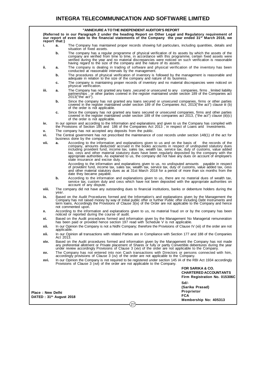| "ANNEXURE A TO THE INDEPENDENT AUDITOR'S REPORT<br>(Referred to in our Paragraph 2 under the heading Report on Other Legal and Regulatory requirement of<br>our report of even date to the financial statements of the Company the year ended 31 <sup>st</sup> March 2018, we<br>report that:)<br>i.<br>The Company has maintained proper records showing full particulars, including quantities, details and<br>a.<br>situation of fixed assets.<br>b.<br>The company has a regular programme of physical verification of its assets by which the assets of the<br>company are verified from time to time, in accordance with this programme, certain fixed assets were<br>verified during the year and no material discrepancies were noticed on such verification is reasonable<br>having regard to the size of the company and the nature of its assets.<br>ii.<br>The company is dealing in trading of software and physical verification of the inventory has been<br>а.<br>conducted at reasonable intervals by the management.<br>The procedures of physical verification of inventory is followed by the management is reasonable and<br>b.<br>adequate in relation to the size of the company and nature of its business.<br>The company is maintaining proper records of inventory and no material discrepancies were noticed on<br>c.<br>physical verification.<br>iii.<br>The Company has not granted any loans ,secured or unsecured to any companies, firms , limited liability<br>а.<br>partnerships, or other parties covered in the register maintained under section 189 of the Companies act<br>2013 ("the act").<br>b.<br>Since the company has not granted any loans secured or unsecured companies, firms or other parties<br>covered in the register maintained under section 189 of the Companies Act, 2013 ("the act") clause iii (b)<br>of the order is not applicable.<br>Since the company has not granted any loans secured or unsecured companies, firms and other parties<br>с.<br>covered in the register maintained under section 189 of the companies act 2013, ("the act") clause (iii)(c)<br>of the order is not applicable.<br>iv.<br>In our opinion and according to the Information and explanations and given to us the Company has compiled with<br>the Provisions of Section 185 and 186 of the Companies Act 2013, in respect of Loans and Investments.<br>The company has not accepted any deposits from the public.<br>۷.<br>vi.<br>The Central government has not prescribed the maintenance of cost records under section 148(1) of the act for<br>business done by the company.<br>vii.<br>According to the information and explanations given to us and on the basis of<br>а.<br>the records of the<br>company, amounts deducted/accrued in the books accounts in respect of undisputed statutory dues<br>including provident fund, income tax, sales tax, wealth tax, service tax, duty of customs, value added<br>tax, cess and other material statutory dues have been regularly deposited by the company with the<br>appropriate authorities. As explained to us, the company did not have any dues on account of employee's<br>state insurance and excise duty.<br>According to the information and explanations given to us, no undisputed amounts<br>payable in respect<br>of provident fund, income tax, sales tax, wealth tax, service tax, duty of customs, value added tax, cess<br>and other material statutory dues as at 31st March 2018 for a period of more than six months from the<br>date they became payable.<br>b.<br>According to the information and explanations given to us, there are no material dues of wealth tax,<br>service tax, custom duty and cess which have not been deposited with the appropriate authorities on |
|----------------------------------------------------------------------------------------------------------------------------------------------------------------------------------------------------------------------------------------------------------------------------------------------------------------------------------------------------------------------------------------------------------------------------------------------------------------------------------------------------------------------------------------------------------------------------------------------------------------------------------------------------------------------------------------------------------------------------------------------------------------------------------------------------------------------------------------------------------------------------------------------------------------------------------------------------------------------------------------------------------------------------------------------------------------------------------------------------------------------------------------------------------------------------------------------------------------------------------------------------------------------------------------------------------------------------------------------------------------------------------------------------------------------------------------------------------------------------------------------------------------------------------------------------------------------------------------------------------------------------------------------------------------------------------------------------------------------------------------------------------------------------------------------------------------------------------------------------------------------------------------------------------------------------------------------------------------------------------------------------------------------------------------------------------------------------------------------------------------------------------------------------------------------------------------------------------------------------------------------------------------------------------------------------------------------------------------------------------------------------------------------------------------------------------------------------------------------------------------------------------------------------------------------------------------------------------------------------------------------------------------------------------------------------------------------------------------------------------------------------------------------------------------------------------------------------------------------------------------------------------------------------------------------------------------------------------------------------------------------------------------------------------------------------------------------------------------------------------------------------------------------------------------------------------------------------------------------------------------------------------------------------------------------------------------------------------------------------------------------------------------------------------------------------------------------------------------------------------------------------------------------------------------------------------------------------------------------------------------------------------------------------------------------------------------------------------------------------------------------------------------------------------------------------------|
|                                                                                                                                                                                                                                                                                                                                                                                                                                                                                                                                                                                                                                                                                                                                                                                                                                                                                                                                                                                                                                                                                                                                                                                                                                                                                                                                                                                                                                                                                                                                                                                                                                                                                                                                                                                                                                                                                                                                                                                                                                                                                                                                                                                                                                                                                                                                                                                                                                                                                                                                                                                                                                                                                                                                                                                                                                                                                                                                                                                                                                                                                                                                                                                                                                                                                                                                                                                                                                                                                                                                                                                                                                                                                                                                                                                                          |
|                                                                                                                                                                                                                                                                                                                                                                                                                                                                                                                                                                                                                                                                                                                                                                                                                                                                                                                                                                                                                                                                                                                                                                                                                                                                                                                                                                                                                                                                                                                                                                                                                                                                                                                                                                                                                                                                                                                                                                                                                                                                                                                                                                                                                                                                                                                                                                                                                                                                                                                                                                                                                                                                                                                                                                                                                                                                                                                                                                                                                                                                                                                                                                                                                                                                                                                                                                                                                                                                                                                                                                                                                                                                                                                                                                                                          |
|                                                                                                                                                                                                                                                                                                                                                                                                                                                                                                                                                                                                                                                                                                                                                                                                                                                                                                                                                                                                                                                                                                                                                                                                                                                                                                                                                                                                                                                                                                                                                                                                                                                                                                                                                                                                                                                                                                                                                                                                                                                                                                                                                                                                                                                                                                                                                                                                                                                                                                                                                                                                                                                                                                                                                                                                                                                                                                                                                                                                                                                                                                                                                                                                                                                                                                                                                                                                                                                                                                                                                                                                                                                                                                                                                                                                          |
|                                                                                                                                                                                                                                                                                                                                                                                                                                                                                                                                                                                                                                                                                                                                                                                                                                                                                                                                                                                                                                                                                                                                                                                                                                                                                                                                                                                                                                                                                                                                                                                                                                                                                                                                                                                                                                                                                                                                                                                                                                                                                                                                                                                                                                                                                                                                                                                                                                                                                                                                                                                                                                                                                                                                                                                                                                                                                                                                                                                                                                                                                                                                                                                                                                                                                                                                                                                                                                                                                                                                                                                                                                                                                                                                                                                                          |
|                                                                                                                                                                                                                                                                                                                                                                                                                                                                                                                                                                                                                                                                                                                                                                                                                                                                                                                                                                                                                                                                                                                                                                                                                                                                                                                                                                                                                                                                                                                                                                                                                                                                                                                                                                                                                                                                                                                                                                                                                                                                                                                                                                                                                                                                                                                                                                                                                                                                                                                                                                                                                                                                                                                                                                                                                                                                                                                                                                                                                                                                                                                                                                                                                                                                                                                                                                                                                                                                                                                                                                                                                                                                                                                                                                                                          |
|                                                                                                                                                                                                                                                                                                                                                                                                                                                                                                                                                                                                                                                                                                                                                                                                                                                                                                                                                                                                                                                                                                                                                                                                                                                                                                                                                                                                                                                                                                                                                                                                                                                                                                                                                                                                                                                                                                                                                                                                                                                                                                                                                                                                                                                                                                                                                                                                                                                                                                                                                                                                                                                                                                                                                                                                                                                                                                                                                                                                                                                                                                                                                                                                                                                                                                                                                                                                                                                                                                                                                                                                                                                                                                                                                                                                          |
|                                                                                                                                                                                                                                                                                                                                                                                                                                                                                                                                                                                                                                                                                                                                                                                                                                                                                                                                                                                                                                                                                                                                                                                                                                                                                                                                                                                                                                                                                                                                                                                                                                                                                                                                                                                                                                                                                                                                                                                                                                                                                                                                                                                                                                                                                                                                                                                                                                                                                                                                                                                                                                                                                                                                                                                                                                                                                                                                                                                                                                                                                                                                                                                                                                                                                                                                                                                                                                                                                                                                                                                                                                                                                                                                                                                                          |
|                                                                                                                                                                                                                                                                                                                                                                                                                                                                                                                                                                                                                                                                                                                                                                                                                                                                                                                                                                                                                                                                                                                                                                                                                                                                                                                                                                                                                                                                                                                                                                                                                                                                                                                                                                                                                                                                                                                                                                                                                                                                                                                                                                                                                                                                                                                                                                                                                                                                                                                                                                                                                                                                                                                                                                                                                                                                                                                                                                                                                                                                                                                                                                                                                                                                                                                                                                                                                                                                                                                                                                                                                                                                                                                                                                                                          |
|                                                                                                                                                                                                                                                                                                                                                                                                                                                                                                                                                                                                                                                                                                                                                                                                                                                                                                                                                                                                                                                                                                                                                                                                                                                                                                                                                                                                                                                                                                                                                                                                                                                                                                                                                                                                                                                                                                                                                                                                                                                                                                                                                                                                                                                                                                                                                                                                                                                                                                                                                                                                                                                                                                                                                                                                                                                                                                                                                                                                                                                                                                                                                                                                                                                                                                                                                                                                                                                                                                                                                                                                                                                                                                                                                                                                          |
|                                                                                                                                                                                                                                                                                                                                                                                                                                                                                                                                                                                                                                                                                                                                                                                                                                                                                                                                                                                                                                                                                                                                                                                                                                                                                                                                                                                                                                                                                                                                                                                                                                                                                                                                                                                                                                                                                                                                                                                                                                                                                                                                                                                                                                                                                                                                                                                                                                                                                                                                                                                                                                                                                                                                                                                                                                                                                                                                                                                                                                                                                                                                                                                                                                                                                                                                                                                                                                                                                                                                                                                                                                                                                                                                                                                                          |
|                                                                                                                                                                                                                                                                                                                                                                                                                                                                                                                                                                                                                                                                                                                                                                                                                                                                                                                                                                                                                                                                                                                                                                                                                                                                                                                                                                                                                                                                                                                                                                                                                                                                                                                                                                                                                                                                                                                                                                                                                                                                                                                                                                                                                                                                                                                                                                                                                                                                                                                                                                                                                                                                                                                                                                                                                                                                                                                                                                                                                                                                                                                                                                                                                                                                                                                                                                                                                                                                                                                                                                                                                                                                                                                                                                                                          |
|                                                                                                                                                                                                                                                                                                                                                                                                                                                                                                                                                                                                                                                                                                                                                                                                                                                                                                                                                                                                                                                                                                                                                                                                                                                                                                                                                                                                                                                                                                                                                                                                                                                                                                                                                                                                                                                                                                                                                                                                                                                                                                                                                                                                                                                                                                                                                                                                                                                                                                                                                                                                                                                                                                                                                                                                                                                                                                                                                                                                                                                                                                                                                                                                                                                                                                                                                                                                                                                                                                                                                                                                                                                                                                                                                                                                          |
|                                                                                                                                                                                                                                                                                                                                                                                                                                                                                                                                                                                                                                                                                                                                                                                                                                                                                                                                                                                                                                                                                                                                                                                                                                                                                                                                                                                                                                                                                                                                                                                                                                                                                                                                                                                                                                                                                                                                                                                                                                                                                                                                                                                                                                                                                                                                                                                                                                                                                                                                                                                                                                                                                                                                                                                                                                                                                                                                                                                                                                                                                                                                                                                                                                                                                                                                                                                                                                                                                                                                                                                                                                                                                                                                                                                                          |
|                                                                                                                                                                                                                                                                                                                                                                                                                                                                                                                                                                                                                                                                                                                                                                                                                                                                                                                                                                                                                                                                                                                                                                                                                                                                                                                                                                                                                                                                                                                                                                                                                                                                                                                                                                                                                                                                                                                                                                                                                                                                                                                                                                                                                                                                                                                                                                                                                                                                                                                                                                                                                                                                                                                                                                                                                                                                                                                                                                                                                                                                                                                                                                                                                                                                                                                                                                                                                                                                                                                                                                                                                                                                                                                                                                                                          |
|                                                                                                                                                                                                                                                                                                                                                                                                                                                                                                                                                                                                                                                                                                                                                                                                                                                                                                                                                                                                                                                                                                                                                                                                                                                                                                                                                                                                                                                                                                                                                                                                                                                                                                                                                                                                                                                                                                                                                                                                                                                                                                                                                                                                                                                                                                                                                                                                                                                                                                                                                                                                                                                                                                                                                                                                                                                                                                                                                                                                                                                                                                                                                                                                                                                                                                                                                                                                                                                                                                                                                                                                                                                                                                                                                                                                          |
| account of any dispute.                                                                                                                                                                                                                                                                                                                                                                                                                                                                                                                                                                                                                                                                                                                                                                                                                                                                                                                                                                                                                                                                                                                                                                                                                                                                                                                                                                                                                                                                                                                                                                                                                                                                                                                                                                                                                                                                                                                                                                                                                                                                                                                                                                                                                                                                                                                                                                                                                                                                                                                                                                                                                                                                                                                                                                                                                                                                                                                                                                                                                                                                                                                                                                                                                                                                                                                                                                                                                                                                                                                                                                                                                                                                                                                                                                                  |
| viii.<br>The company did not have any outstanding dues to financial institutions, banks or debenture holders during the<br>year.                                                                                                                                                                                                                                                                                                                                                                                                                                                                                                                                                                                                                                                                                                                                                                                                                                                                                                                                                                                                                                                                                                                                                                                                                                                                                                                                                                                                                                                                                                                                                                                                                                                                                                                                                                                                                                                                                                                                                                                                                                                                                                                                                                                                                                                                                                                                                                                                                                                                                                                                                                                                                                                                                                                                                                                                                                                                                                                                                                                                                                                                                                                                                                                                                                                                                                                                                                                                                                                                                                                                                                                                                                                                         |
| Based on the Audit Procedures formed and the Information's and explanations given by the Management the<br>ix.<br>Company has not raised money by way of Initial public offer or further Public offer including Debt Instruments and<br>term loans, Accordingly the Provisions of Clause 3(ix) of the Order are not applicable to the Company and hence<br>not commented upon.                                                                                                                                                                                                                                                                                                                                                                                                                                                                                                                                                                                                                                                                                                                                                                                                                                                                                                                                                                                                                                                                                                                                                                                                                                                                                                                                                                                                                                                                                                                                                                                                                                                                                                                                                                                                                                                                                                                                                                                                                                                                                                                                                                                                                                                                                                                                                                                                                                                                                                                                                                                                                                                                                                                                                                                                                                                                                                                                                                                                                                                                                                                                                                                                                                                                                                                                                                                                                           |
| According to the information and explanations given to us, no material fraud on or by the company has been<br>х.<br>noticed or reported during the course of audit.                                                                                                                                                                                                                                                                                                                                                                                                                                                                                                                                                                                                                                                                                                                                                                                                                                                                                                                                                                                                                                                                                                                                                                                                                                                                                                                                                                                                                                                                                                                                                                                                                                                                                                                                                                                                                                                                                                                                                                                                                                                                                                                                                                                                                                                                                                                                                                                                                                                                                                                                                                                                                                                                                                                                                                                                                                                                                                                                                                                                                                                                                                                                                                                                                                                                                                                                                                                                                                                                                                                                                                                                                                      |
| Based on the Audit procedures formed and information given by the Management No Managerial remuneration<br>xi.<br>has been paid or provided hence section 197 read with Schedule V is not applicable.                                                                                                                                                                                                                                                                                                                                                                                                                                                                                                                                                                                                                                                                                                                                                                                                                                                                                                                                                                                                                                                                                                                                                                                                                                                                                                                                                                                                                                                                                                                                                                                                                                                                                                                                                                                                                                                                                                                                                                                                                                                                                                                                                                                                                                                                                                                                                                                                                                                                                                                                                                                                                                                                                                                                                                                                                                                                                                                                                                                                                                                                                                                                                                                                                                                                                                                                                                                                                                                                                                                                                                                                    |
| In our Opinion the Company is not a Nidhi Company; therefore the Provisions of Clause IV (xii) of the order are not<br>xii.<br>applicable.                                                                                                                                                                                                                                                                                                                                                                                                                                                                                                                                                                                                                                                                                                                                                                                                                                                                                                                                                                                                                                                                                                                                                                                                                                                                                                                                                                                                                                                                                                                                                                                                                                                                                                                                                                                                                                                                                                                                                                                                                                                                                                                                                                                                                                                                                                                                                                                                                                                                                                                                                                                                                                                                                                                                                                                                                                                                                                                                                                                                                                                                                                                                                                                                                                                                                                                                                                                                                                                                                                                                                                                                                                                               |
| In our Opinion all transactions with related Parties are in Compliance with Section 177 and 188 of the Companies<br>xii.<br>Act 2013.                                                                                                                                                                                                                                                                                                                                                                                                                                                                                                                                                                                                                                                                                                                                                                                                                                                                                                                                                                                                                                                                                                                                                                                                                                                                                                                                                                                                                                                                                                                                                                                                                                                                                                                                                                                                                                                                                                                                                                                                                                                                                                                                                                                                                                                                                                                                                                                                                                                                                                                                                                                                                                                                                                                                                                                                                                                                                                                                                                                                                                                                                                                                                                                                                                                                                                                                                                                                                                                                                                                                                                                                                                                                    |
| Based on the Audit procedures formed and information given by the Management the Company has not made<br>any preferential allotment or Private placement of Shares or fully or partly Convertible debentures during the year<br>unde<br>xiv.                                                                                                                                                                                                                                                                                                                                                                                                                                                                                                                                                                                                                                                                                                                                                                                                                                                                                                                                                                                                                                                                                                                                                                                                                                                                                                                                                                                                                                                                                                                                                                                                                                                                                                                                                                                                                                                                                                                                                                                                                                                                                                                                                                                                                                                                                                                                                                                                                                                                                                                                                                                                                                                                                                                                                                                                                                                                                                                                                                                                                                                                                                                                                                                                                                                                                                                                                                                                                                                                                                                                                             |
| The Company has not entered into non Cash transactions with Directors or persons connected with him, accordingly provisions of Clause 3 (xv) of the order are not applicable to the Company.<br>XV.                                                                                                                                                                                                                                                                                                                                                                                                                                                                                                                                                                                                                                                                                                                                                                                                                                                                                                                                                                                                                                                                                                                                                                                                                                                                                                                                                                                                                                                                                                                                                                                                                                                                                                                                                                                                                                                                                                                                                                                                                                                                                                                                                                                                                                                                                                                                                                                                                                                                                                                                                                                                                                                                                                                                                                                                                                                                                                                                                                                                                                                                                                                                                                                                                                                                                                                                                                                                                                                                                                                                                                                                      |
| In our Opinion the Company is not required to be registered under section 145 IA of the RBI Act 1934 accordingly<br>XVİ.<br>Provisions of Clause 3 (xvi) of the order are not applicable to the Company.                                                                                                                                                                                                                                                                                                                                                                                                                                                                                                                                                                                                                                                                                                                                                                                                                                                                                                                                                                                                                                                                                                                                                                                                                                                                                                                                                                                                                                                                                                                                                                                                                                                                                                                                                                                                                                                                                                                                                                                                                                                                                                                                                                                                                                                                                                                                                                                                                                                                                                                                                                                                                                                                                                                                                                                                                                                                                                                                                                                                                                                                                                                                                                                                                                                                                                                                                                                                                                                                                                                                                                                                 |
| <b>FOR SARIKA &amp; CO.</b><br><b>CHARTERED ACCOUNTANTS</b><br>Firm Registration No. 015306C                                                                                                                                                                                                                                                                                                                                                                                                                                                                                                                                                                                                                                                                                                                                                                                                                                                                                                                                                                                                                                                                                                                                                                                                                                                                                                                                                                                                                                                                                                                                                                                                                                                                                                                                                                                                                                                                                                                                                                                                                                                                                                                                                                                                                                                                                                                                                                                                                                                                                                                                                                                                                                                                                                                                                                                                                                                                                                                                                                                                                                                                                                                                                                                                                                                                                                                                                                                                                                                                                                                                                                                                                                                                                                             |
| Sd/-                                                                                                                                                                                                                                                                                                                                                                                                                                                                                                                                                                                                                                                                                                                                                                                                                                                                                                                                                                                                                                                                                                                                                                                                                                                                                                                                                                                                                                                                                                                                                                                                                                                                                                                                                                                                                                                                                                                                                                                                                                                                                                                                                                                                                                                                                                                                                                                                                                                                                                                                                                                                                                                                                                                                                                                                                                                                                                                                                                                                                                                                                                                                                                                                                                                                                                                                                                                                                                                                                                                                                                                                                                                                                                                                                                                                     |
| (Sarika Prasad)                                                                                                                                                                                                                                                                                                                                                                                                                                                                                                                                                                                                                                                                                                                                                                                                                                                                                                                                                                                                                                                                                                                                                                                                                                                                                                                                                                                                                                                                                                                                                                                                                                                                                                                                                                                                                                                                                                                                                                                                                                                                                                                                                                                                                                                                                                                                                                                                                                                                                                                                                                                                                                                                                                                                                                                                                                                                                                                                                                                                                                                                                                                                                                                                                                                                                                                                                                                                                                                                                                                                                                                                                                                                                                                                                                                          |
| Proprietor<br>Place: New Delhi<br><b>FCA</b>                                                                                                                                                                                                                                                                                                                                                                                                                                                                                                                                                                                                                                                                                                                                                                                                                                                                                                                                                                                                                                                                                                                                                                                                                                                                                                                                                                                                                                                                                                                                                                                                                                                                                                                                                                                                                                                                                                                                                                                                                                                                                                                                                                                                                                                                                                                                                                                                                                                                                                                                                                                                                                                                                                                                                                                                                                                                                                                                                                                                                                                                                                                                                                                                                                                                                                                                                                                                                                                                                                                                                                                                                                                                                                                                                             |
| DATED: 31 <sup>th</sup> August 2018<br>Membership No: 405313                                                                                                                                                                                                                                                                                                                                                                                                                                                                                                                                                                                                                                                                                                                                                                                                                                                                                                                                                                                                                                                                                                                                                                                                                                                                                                                                                                                                                                                                                                                                                                                                                                                                                                                                                                                                                                                                                                                                                                                                                                                                                                                                                                                                                                                                                                                                                                                                                                                                                                                                                                                                                                                                                                                                                                                                                                                                                                                                                                                                                                                                                                                                                                                                                                                                                                                                                                                                                                                                                                                                                                                                                                                                                                                                             |
| 27                                                                                                                                                                                                                                                                                                                                                                                                                                                                                                                                                                                                                                                                                                                                                                                                                                                                                                                                                                                                                                                                                                                                                                                                                                                                                                                                                                                                                                                                                                                                                                                                                                                                                                                                                                                                                                                                                                                                                                                                                                                                                                                                                                                                                                                                                                                                                                                                                                                                                                                                                                                                                                                                                                                                                                                                                                                                                                                                                                                                                                                                                                                                                                                                                                                                                                                                                                                                                                                                                                                                                                                                                                                                                                                                                                                                       |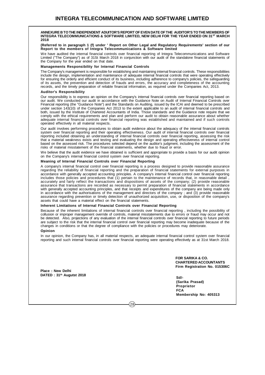#### **ANNEXURE B TO THE INDEPENDENT ADUITOR'S REPORT OF EVEN DATE OF THE AUDITOR'S TO THE MEMBERS OF INTEGRA TELECOMMUNICATIONS & SOFTWARE LIMITED, NEW DELHI FOR THE YEAR ENDED ON 31<sup>ST</sup> MARCH 2018**

#### **(Referred to in paragraph 1 (f) under ' Report on Other Legal and Regulatory Requirements' section of our Report to the members of Integra Telecommunications & Software limited**

We have audited the internal financial controls over financial reporting of Integra Telecommunications and Software Limited ("The Company") as of 31St March 2018 in conjunction with our audit of the standalone financial statements of the Company for the year ended on that date.

#### **Managements Responsibility for Internal Financial Controls**

The Company's management is responsible for establishing and maintaining internal financial controls. These responsibilities include the design, implementation and maintenance of adequate internal financial controls that were operating effectively for ensuring the orderly and efficient conduct of its business, including adherence to company's policies, the safeguarding of its assets, the prevention and detection of frauds and errors, the accuracy and completeness of the accounting records, and the timely preparation of reliable financial information, as required under the Companies Act, 2013.

#### **Auditor's Responsibility**

Our responsibility is to express an opinion on the Company's internal financial controls over financial reporting based on our audit. We conducted our audit in accordance with the Guidance Note on Audit of Internal Financial Controls over Financial reporting (the "Guidance Note") and the Standards on Auditing, issued by the ICAI and deemed to be prescribed under section 143(10) of the Companies Act 2013 to the extent applicable to an audit of internal financial controls and both, issued by the Institute of Chartered Accountants of India. Those standards and the Guidance note require that we comply with the ethical requirements and plan and perform our audit to obtain reasonable assurance about whether adequate internal financial controls over financial reporting was established and maintained and if such controls operated effectively in all material respects.

Our audit involves performing procedures to obtain audit evidence about the adequacy of the internal financial controls system over financial reporting and their operating effectiveness. Our audit of internal financial controls over financial reporting included obtaining an understanding of internal financial controls over financial reporting, assessing the risk that a material weakness exists and testing and evaluating the design and operating effectiveness of internal control based on the assessed risk. The procedures selected depend on the auditor's judgment, including the assessment of the risks of material misstatement of the financial statements, whether due to fraud or error.

We believe that the audit evidence we have obtained is sufficient and appropriate to provide a basis for our audit opinion on the Company's internal financial control system over financial reporting.

#### **Meaning of Internal Financial Controls over Financial Reporting**

A company's internal financial control over financial reporting is a process designed to provide reasonable assurance regarding the reliability of financial reporting and the preparation of financial statements for external purposes in accordance with generally accepted accounting principles. A company's internal financial control over financial reporting includes those policies and procedures that (1) pertain to the maintenance of records that, in reasonable detail , accurately and fairly reflect the transactions and dispositions of assets of the company; (2) provide reasonable assurance that transactions are recorded as necessary to permit preparation of financial statements in accordance with generally accepted accounting principles, and that receipts and expenditures of the company are being made only in accordance with the authorisations of the management and directors of the company ; and (3) provide reasonable assurance regarding prevention or timely detection of unauthorized acquisition, use, or disposition of the company's assets that could have a material effect on the financial statements.

#### **Inherent Limitations of Internal Financial Controls over Financial Reporting**

Because of the inherent limitations of internal financial controls over financial reporting , including the possibility of collusion or improper management override of controls, material misstatements due to errors or fraud may occur and not be detected. Also, projections of any evaluation of the internal financial controls over financial reporting to future periods are subject to the risk that the internal financial control over financial reporting may become inadequate because of the changes in conditions or that the degree of compliance with the policies or procedures may deteriorate.

#### **Opinion**

In our opinion, the Company has, in all material respects, an adequate internal financial control system over financial reporting and such internal financial controls over financial reporting were operating effectively as at 31st March 2018.

**Place : New Delhi DATED : 31th Augutst 2018** **FOR SARIKA & CO. CHARTERED ACCOUNTANTS Firm Registration No. 015306C**

**Sd/- (Sarika Prasad) Proprietor FCA Membership No: 405313**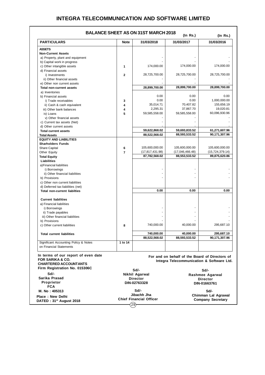|                | <b>BALANCE SHEET AS ON 31ST MARCH 2018</b><br>$($ In Rs. $)$<br>$($ ln Rs. $)$ |                                                                                                                                                                                 |                                                                                                                                                                               |  |  |  |  |  |
|----------------|--------------------------------------------------------------------------------|---------------------------------------------------------------------------------------------------------------------------------------------------------------------------------|-------------------------------------------------------------------------------------------------------------------------------------------------------------------------------|--|--|--|--|--|
| <b>Note</b>    | 31/03/2018                                                                     | 31/03/2017                                                                                                                                                                      | 31/03/2016                                                                                                                                                                    |  |  |  |  |  |
|                |                                                                                |                                                                                                                                                                                 |                                                                                                                                                                               |  |  |  |  |  |
|                |                                                                                |                                                                                                                                                                                 |                                                                                                                                                                               |  |  |  |  |  |
|                |                                                                                |                                                                                                                                                                                 |                                                                                                                                                                               |  |  |  |  |  |
|                |                                                                                |                                                                                                                                                                                 |                                                                                                                                                                               |  |  |  |  |  |
| 1              | 174,000.00                                                                     | 174,000.00                                                                                                                                                                      | 174,000.00                                                                                                                                                                    |  |  |  |  |  |
|                |                                                                                |                                                                                                                                                                                 |                                                                                                                                                                               |  |  |  |  |  |
| $\overline{2}$ | 28,725,700.00                                                                  | 28,725,700.00                                                                                                                                                                   | 28,725,700.00                                                                                                                                                                 |  |  |  |  |  |
|                |                                                                                |                                                                                                                                                                                 |                                                                                                                                                                               |  |  |  |  |  |
|                |                                                                                |                                                                                                                                                                                 |                                                                                                                                                                               |  |  |  |  |  |
|                |                                                                                |                                                                                                                                                                                 | 28,899,700.00                                                                                                                                                                 |  |  |  |  |  |
|                |                                                                                |                                                                                                                                                                                 |                                                                                                                                                                               |  |  |  |  |  |
|                |                                                                                |                                                                                                                                                                                 | 0.00                                                                                                                                                                          |  |  |  |  |  |
| 3              |                                                                                |                                                                                                                                                                                 | 1,000,000.00                                                                                                                                                                  |  |  |  |  |  |
|                |                                                                                |                                                                                                                                                                                 | 155,656.19                                                                                                                                                                    |  |  |  |  |  |
|                |                                                                                |                                                                                                                                                                                 | 19,020.81                                                                                                                                                                     |  |  |  |  |  |
|                |                                                                                |                                                                                                                                                                                 | 60,096,930.96                                                                                                                                                                 |  |  |  |  |  |
|                |                                                                                |                                                                                                                                                                                 |                                                                                                                                                                               |  |  |  |  |  |
|                |                                                                                |                                                                                                                                                                                 |                                                                                                                                                                               |  |  |  |  |  |
|                |                                                                                |                                                                                                                                                                                 |                                                                                                                                                                               |  |  |  |  |  |
|                |                                                                                |                                                                                                                                                                                 | 61,271,607.96<br>90,171,307.96                                                                                                                                                |  |  |  |  |  |
|                |                                                                                |                                                                                                                                                                                 |                                                                                                                                                                               |  |  |  |  |  |
|                |                                                                                |                                                                                                                                                                                 |                                                                                                                                                                               |  |  |  |  |  |
|                |                                                                                |                                                                                                                                                                                 | 105,600,000.00                                                                                                                                                                |  |  |  |  |  |
|                |                                                                                |                                                                                                                                                                                 | (15,724,379.14)                                                                                                                                                               |  |  |  |  |  |
|                |                                                                                |                                                                                                                                                                                 | 89,875,620.86                                                                                                                                                                 |  |  |  |  |  |
|                |                                                                                |                                                                                                                                                                                 |                                                                                                                                                                               |  |  |  |  |  |
|                |                                                                                |                                                                                                                                                                                 |                                                                                                                                                                               |  |  |  |  |  |
|                |                                                                                |                                                                                                                                                                                 |                                                                                                                                                                               |  |  |  |  |  |
|                |                                                                                |                                                                                                                                                                                 |                                                                                                                                                                               |  |  |  |  |  |
|                |                                                                                |                                                                                                                                                                                 |                                                                                                                                                                               |  |  |  |  |  |
|                |                                                                                |                                                                                                                                                                                 |                                                                                                                                                                               |  |  |  |  |  |
|                |                                                                                |                                                                                                                                                                                 |                                                                                                                                                                               |  |  |  |  |  |
|                | 0.00                                                                           | 0.00                                                                                                                                                                            | 0.00                                                                                                                                                                          |  |  |  |  |  |
|                |                                                                                |                                                                                                                                                                                 |                                                                                                                                                                               |  |  |  |  |  |
|                |                                                                                |                                                                                                                                                                                 |                                                                                                                                                                               |  |  |  |  |  |
|                |                                                                                |                                                                                                                                                                                 |                                                                                                                                                                               |  |  |  |  |  |
|                |                                                                                |                                                                                                                                                                                 |                                                                                                                                                                               |  |  |  |  |  |
|                |                                                                                |                                                                                                                                                                                 |                                                                                                                                                                               |  |  |  |  |  |
|                |                                                                                |                                                                                                                                                                                 |                                                                                                                                                                               |  |  |  |  |  |
|                |                                                                                |                                                                                                                                                                                 |                                                                                                                                                                               |  |  |  |  |  |
| 8              | 740,000.00                                                                     | 40,000.00                                                                                                                                                                       | 295,687.10                                                                                                                                                                    |  |  |  |  |  |
|                |                                                                                |                                                                                                                                                                                 | 295,687.10                                                                                                                                                                    |  |  |  |  |  |
|                | 88,522,568.02                                                                  | 88,593,533.52                                                                                                                                                                   | 90,171,307.96                                                                                                                                                                 |  |  |  |  |  |
| 1 to 14        |                                                                                |                                                                                                                                                                                 |                                                                                                                                                                               |  |  |  |  |  |
|                |                                                                                |                                                                                                                                                                                 |                                                                                                                                                                               |  |  |  |  |  |
|                | 4<br>4<br>5<br>6<br>7                                                          | 28,899,700.00<br>0.00<br>0.00<br>35,014.71<br>2,295.31<br>59,585,558.00<br>59,622,868.02<br>88,522,568.02<br>105,600,000.00<br>(17, 817, 431.98)<br>87,782,568.02<br>740,000.00 | 28,899,700.00<br>0.00<br>0.00<br>70,407.82<br>37,867.70<br>59,585,558.00<br>59,693,833.52<br>88,593,533.52<br>105,600,000.00<br>(17,046,466.48)<br>88,553,533.52<br>40,000.00 |  |  |  |  |  |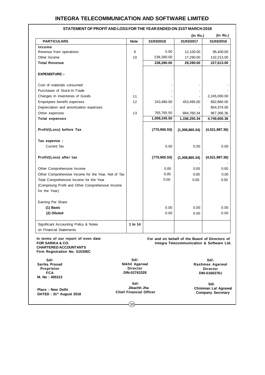|                                                                                                                                     |                                                           |               | $($ ln Rs. $)$                                                                              | (ln Rs.)                                                   |
|-------------------------------------------------------------------------------------------------------------------------------------|-----------------------------------------------------------|---------------|---------------------------------------------------------------------------------------------|------------------------------------------------------------|
| <b>PARTICULARS</b>                                                                                                                  | <b>Note</b>                                               | 31/03/2018    | 31/03/2017                                                                                  | 31/03/2016                                                 |
| Income                                                                                                                              |                                                           |               |                                                                                             |                                                            |
| Revenue from operations                                                                                                             | 9                                                         | 0.00          | 12,100.00                                                                                   | 95,400.00                                                  |
| Other Income                                                                                                                        | 10                                                        | 238,280.00    | 17,290.00                                                                                   | 132,213.00                                                 |
| <b>Total Revenue</b>                                                                                                                |                                                           | 238,280.00    | 29,390.00                                                                                   | 227,613.00                                                 |
| <b>EXPENDITURE:-</b>                                                                                                                |                                                           |               |                                                                                             |                                                            |
| Cost of materials consumed                                                                                                          |                                                           |               |                                                                                             |                                                            |
| Purchases of Stock-In-Trade                                                                                                         |                                                           |               |                                                                                             |                                                            |
| Changes In Inventories of Goods                                                                                                     | 11                                                        |               |                                                                                             | 2,245,000.00                                               |
| Empolyees benefit expenses                                                                                                          | 12                                                        | 243,480.00    | 453,495.00                                                                                  | 682,860.00                                                 |
| Depreciation and amortization expenses                                                                                              |                                                           |               |                                                                                             | 854,374.00                                                 |
| Other expenses                                                                                                                      | 13                                                        | 765,765.50    | 884,760.34                                                                                  | 967,366.36                                                 |
| <b>Total expenses</b>                                                                                                               |                                                           | 1,009,245.50  | 1,338,255.34                                                                                | 4,749,600.36                                               |
| Profit/(Loss) before Tax                                                                                                            |                                                           | (770, 965.50) | (1,308,865.34)                                                                              | (4,521,987.36)                                             |
|                                                                                                                                     |                                                           |               |                                                                                             |                                                            |
| Tax expense :                                                                                                                       |                                                           |               |                                                                                             |                                                            |
| <b>Current Tax</b>                                                                                                                  |                                                           | 0.00          | 0.00                                                                                        | 0.00                                                       |
| Profit/(Loss) after tax                                                                                                             |                                                           | (770, 965.50) | (1,308,865.34)                                                                              | (4,521,987.36)                                             |
| Other Comprehensive Income                                                                                                          |                                                           | 0.00          | 0.00                                                                                        | 0.00                                                       |
| Other Comprehensive Income for the Year, Net of Tax                                                                                 |                                                           | 0.00          | 0.00                                                                                        | 0.00                                                       |
| Total Comprehensive Income for the Year                                                                                             |                                                           | 0.00          | 0.00                                                                                        | 0.00                                                       |
| (Comprising Profit and Other Comprehensive Income                                                                                   |                                                           |               |                                                                                             |                                                            |
| for the Year)                                                                                                                       |                                                           |               |                                                                                             |                                                            |
| Earning Per Share                                                                                                                   |                                                           |               |                                                                                             |                                                            |
| (1) Basic                                                                                                                           |                                                           | 0.00          | 0.00                                                                                        | 0.00                                                       |
| (2) Diluted                                                                                                                         |                                                           | 0.00          | 0.00                                                                                        | 0.00                                                       |
| Significant Accounting Policy & Notes                                                                                               | 1 to 14                                                   |               |                                                                                             |                                                            |
| on Financial Statements                                                                                                             |                                                           |               |                                                                                             |                                                            |
| In terms of our report of even date<br><b>FOR SARIKA &amp; CO.</b><br><b>CHARTERED ACCOUNTANTS</b><br>Firm Registration No. 015306C |                                                           |               | For and on behalf of the Board of Directors of<br>Integra Telecommunication & Software Ltd. |                                                            |
| Sd/-<br>Sarika Prasad<br>Proprietor<br><b>FCA</b><br>M. No: 405313                                                                  | Sd/-<br>Nikhil Agarwal<br><b>Director</b><br>DIN-02763328 |               |                                                                                             | Sd/-<br>Rashmee Agarwal<br><b>Director</b><br>DIN-01663761 |
|                                                                                                                                     | Sd/-                                                      |               |                                                                                             | Sd/-                                                       |

### **STATEMENT OF PROFIT AND LOSS FOR THE YEAR ENDED ON 31ST MARCH 2018**

30

 **Jibachh Jha Chief Financial Officer**

**Place : New Delhi DATED : 31st August 2018**  **Chimman Lal Agrawal Company Secretary**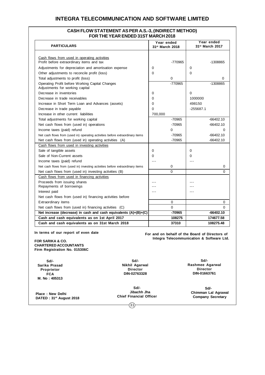### **CASH FLOW STATEMENT AS PER A.S.-3, (INDIRECT METHOD) FOR THE YEAR ENDED 31ST MARCH 2018**

| <b>PARTICULARS</b>                                                                        | Year ended<br>31st March 2018 | Year ended<br>31 <sup>st</sup> March 2017 |
|-------------------------------------------------------------------------------------------|-------------------------------|-------------------------------------------|
|                                                                                           |                               |                                           |
| Cash flows from used in operating activities<br>Profit before extraordinary items and tax | -770965                       | -1308865                                  |
| Adjustments for depreciation and amortisation expense                                     | 0                             | $\Omega$                                  |
| Other adjustments to reconcile profit (loss)                                              | 0                             | $\Omega$                                  |
| Total adjustments to profit (loss)                                                        | $\Omega$                      | $\Omega$                                  |
| Operating Profit before Working Capital Changes<br>Adjustments for working capital        | -770965                       | -1308865                                  |
| Decrease in inventories                                                                   | 0                             | $\Omega$                                  |
| Decrease in trade receivables                                                             | 0                             | 1000000                                   |
| Increase in Short Term Loan and Advances (assets)                                         | 0                             | 498150                                    |
| Decrease in trade payable                                                                 | 0                             | $-255687.1$                               |
| Increase in other current liabilities                                                     | 700,000                       |                                           |
| Total adjustments for working capital                                                     | $-70965$                      | $-66402.10$                               |
| Net cash flows from (used in) operations                                                  | $-70965$                      | $-66402.10$                               |
| Income taxes (paid) refund                                                                | 0                             | 0                                         |
| Net cash flows from (used in) operating activities before extraordinary items             | $-70965$                      | $-66402.10$                               |
| Net cash flows from (used in) operating activities (A)                                    | $-70965$                      | $-66402.10$                               |
| Cash flows from used in investing activities                                              |                               |                                           |
| Sale of tangible assets                                                                   | 0                             | 0                                         |
| Sale of Non-Current assets                                                                | 0                             | $\Omega$                                  |
| Income taxes (paid) refund                                                                |                               |                                           |
| Net cash flows from (used in) investing activities before extraordinary items             | 0                             | 0                                         |
| Net cash flows from (used in) investing activities (B)                                    | $\Omega$                      | 0                                         |
| Cash flows from used in financing activities                                              |                               |                                           |
| Proceeds from issuing shares                                                              |                               |                                           |
| Repayments of borrowings                                                                  |                               |                                           |
| Interest paid                                                                             |                               |                                           |
| Net cash flows from (used in) financing activities before                                 |                               |                                           |
| Extraordinary items                                                                       | 0                             | 0                                         |
| Net cash flows from (used in) financing activities (C)                                    | $\Omega$                      | $\Omega$                                  |
| Net increase (decrease) in cash and cash equivalents (A)+(B)+(C)                          | $-70965$                      | $-66402.10$                               |
| Cash and cash equivalents as on 1st April 2017                                            | 108275                        | 174677.58                                 |
| Cash and cash equivalents as on 31st March 2018                                           | 37310                         | 108275.48                                 |

**In terms of our report of even date**

**FOR SARIKA & CO. CHARTERED ACCOUNTANTS Firm Registration No. 015306C**

**Sd/- Sarika Prasad Proprietor FCA M. No : 405313**

**Place : New Delhi DATED : 31st August 2018**

**Sd/- Nikhil Agarwal Director DIN-02763328**

**Sd/- Jibachh Jha Chief Financial Officer**

 $(31)$ 

**Sd/- Rashmee Agarwal Director DIN-01663761**

**For and on behalf of the Board of Directors of Integra Telecommunication & Software Ltd.**

> **Sd/- Chimman Lal Agrawal Company Secretary**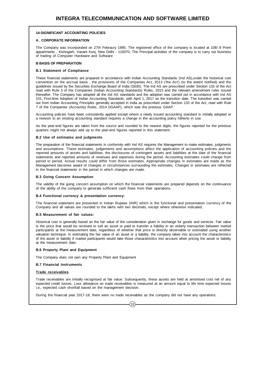#### **14-SIGNIFICANT ACCOUNTING POLICIES**

#### **A . CORPORATE INFORMATION**

The Company was incorporated on 27th Febraury 1985. The registered office of the company is located at 108/ 9 Prem appartments , Kishngarh, Vasant Kunj, New Delhi - 110070, The Principal activities of the company is to carry out business of trading of Computer Hardware and Software

#### **B BASIS OF PREPARATION**

#### **B.1 Statement of Compliance**

These financial statements are prepared in accordance with Indian Accounting Standards (Ind AS),under the historical cost convention on the accrual basis , the provisions of the Companies Act, 2013 ('the Act') (to the extent notified) and the guidelines issued by the Securities Exchange Board of India (SEBI). The Ind AS are prescribed under Section 133 of the Act read with Rule 3 of the Companies (Indian Accounting Standards) Rules, 2015 and the relevant amendment rules issued thereafter. The Company has adopted all the Ind AS standards and the adoption was carried out in accordance with Ind AS 101, First-time Adoption of Indian Accounting Standards, with April 1, 2017 as the transition date. The transition was carried out from Indian Accounting Principles generally accepted in India as prescribed under Section 133 of the Act, read with Rule 7 of the Companies (Accounts) Rules, 2014 (IGAAP), which was the previous GAAP.

Accounting policies have been consistently applied except where a newly issued accounting standard is initially adopted or a revision to an existing accounting standard requires a change in the accounting policy hitherto in use.

As the year-end figures are taken from the source and rounded to the nearest digits, the figures reported for the previous quarters might not always add up to the year-end figures reported in this statement.

#### **B.2 Use of estimates and judgments**

The preparation of the financial statements in conformity with Ind AS requires the Management to make estimates, judgments and assumptions. These estimates, judgements and assumptions affect the application of accounting policies and the reported amounts of assets and liabilities, the disclosures of contingent assets and liabilities at the date of the financial statements and reported amounts of revenues and expenses during the period. Accounting estimates could change from period to period. Actual results could differ from those estimates. Appropriate changes in estimates are made as the Management becomes aware of changes in circumstances surrounding the estimates. Changes in estimates are reflected in the financial statements in the period in which changes are made.

#### **B.3 Going Concern Assumption**

The validity of the going concern assumption on which the financial statements are prepared depends on the continuance of the ability of the company to generate sufficient cash flows from their operations.

#### **B.4 Functional currency & presentation currency:**

The financial statement are presented in Indian Rupees (INR) which is the functional and presentation currency of the Company and all values are rounded to the lakhs with two decimals, except where otherwise indicated.

#### **B.5 Measurement of fair values:**

Historical cost is generally based on the fair value of the consideration given in exchange for goods and services. Fair value is the price that would be received to sell an asset or paid to transfer a liability in an orderly transaction between market participants at the measurement date, regardless of whether that price is directly observable or estimated using another valuation technique. In estimating the fair value of an asset or a liability, the company takes into account the characteristics of the asset or liability if market participants would take those characteristics into account when pricing the asset or liability at the measurement date.

#### **B.6 Property Plant and Equipment**

The Company does not own any Property Plant and Equipment

#### **B.7 Financial Instruments**

#### **Trade receivables**

Trade receivables are initially recognised at fair value. Subsequently, these assets are held at amortised cost net of any expected credit losses. Loss allowance on trade receivables is measured at an amount equal to life time expected losses i.e., expected cash shortfall based on the management decision.

 $\overline{32}$ 

During the financial year 2017-18, there were no trade receivables as the company did not have any operations.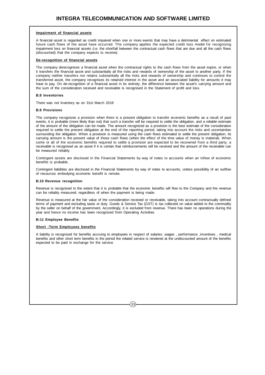#### **Impairment of financial assets**

A financial asset is regarded as credit impaired when one or more events that may have a detrimental effect on estimated future cash flows of the asset have occurred. The company applies the expected credit loss model for recognizing impairment loss on financial assets (i.e. the shortfall between the contractual cash flows that are due and all the cash flows (discounted) that the company expects to receive).

#### **De-recognition of financial assets**

The company derecognises a financial asset when the contractual rights to the cash flows from the asset expire, or when it transfers the financial asset and substantially all the risks and rewards of ownership of the asset to another party. If the company neither transfers nor retains substantially all the risks and rewards of ownership and continues to control the transferred asset, the company recognises its retained interest in the asset and an associated liability for amounts it may have to pay. On de-recognition of a financial asset in its entirety, the difference between the asset's carrying amount and the sum of the consideration received and receivable is recognised in the Statement of profit and loss.

#### **B.8 Inventories**

There was not Inventory as on 31st March 2018

#### **B.9 Provisions**

The company recognizes a provision when there is a present obligation to transfer economic benefits as a result of past events, it is probable (more likely than not) that such a transfer will be required to settle the obligation, and a reliable estimate of the amount of the obligation can be made. The amount recognized as a provision is the best estimate of the consideration required to settle the present obligation at the end of the reporting period, taking into account the risks and uncertainties surrounding the obligation. When a provision is measured using the cash flows estimated to settle the present obligation, its carrying amount is the present value of those cash flows (when the effect of the time value of money is material). When some or all of the economic benefits required to settle a provision are expected to be recovered from a third party, a receivable is recognised as an asset if it is certain that reimbursements will be received and the amount of the receivable can be measured reliably.

Contingent assets are disclosed in the Financial Statements by way of notes to accounts when an inflow of economic benefits is probable.

Contingent liabilities are disclosed in the Financial Statements by way of notes to accounts, unless possibility of an outflow of resources embodying economic benefit is remote.

#### **B.10 Revenue recognition**

Revenue is recognized to the extent that it is probable that the economic benefits will flow to the Company and the revenue can be reliably measured, regardless of when the payment is being made.

Revenue is measured at the fair value of the consideration received or receivable, taking into account contractually defined terms of payment and excluding taxes or duty. Goods & Service Tax (GST) is tax collected on value added to the commodity by the seller on behalf of the government. Accordingly, it is excluded from revenue. There has been no operations during the year and hence no income has been recognized from Operating Activities

#### **B:11 Employee Benefits**

#### **Short -Term Employees benefits**

A liability is recognized for benefits accruing to employees in respect of salaries ,wages , performance ,incentives , medical benefits and other short term benefits in the period the related service is rendered at the undiscounted amount of the benefits expected to be paid in exchange for the service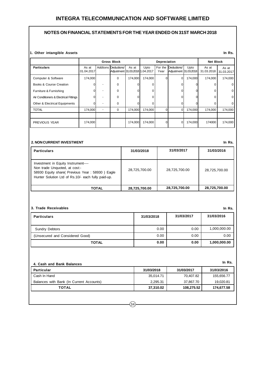### **NOTES ON FINANCIAL STATEMENTS FOR THE YEAR ENDED ON 31ST MARCH 2018**

#### **1. Other intangible Assets**

|                                        | <b>Gross Block</b>  |                |                                                         | Depreciation |         |                 |                                      | <b>Net Block</b> |                     |                     |
|----------------------------------------|---------------------|----------------|---------------------------------------------------------|--------------|---------|-----------------|--------------------------------------|------------------|---------------------|---------------------|
| <b>Particulars</b>                     | As at<br>01.04.2017 |                | Addtions Deductions/<br>Adjustment 31.03.2018 1.04.2017 | As at        | Upto    | For the<br>Year | Deductions/<br>Adjustment 31.03.2018 | Upto             | As at<br>31.03.2018 | As at<br>31.03.2017 |
| Computer & Software                    | 174,000             |                | $\Omega$                                                | 174,000      | 174,000 |                 | $\Omega$                             | 174,000          | 174,000             | 174,000             |
| <b>Books &amp; Course Creation</b>     |                     |                | $\mathbf 0$                                             |              | U       |                 |                                      |                  |                     |                     |
| Furniture & Furnishing                 |                     |                | $\Omega$                                                |              | 0       |                 |                                      |                  | n                   | 0                   |
| Air Conditioners & Electrical Fittings |                     |                | $\Omega$                                                |              | 0       |                 |                                      |                  |                     |                     |
| Other & Electrical Equipments          |                     |                | $\Omega$                                                |              | 0       |                 |                                      |                  |                     |                     |
| <b>TOTAL</b>                           | 174,000             | $\blacksquare$ | $\Omega$                                                | 174,000      | 174.000 |                 | $\Omega$                             | 174,000          | 174,000             | 174,000             |
|                                        |                     |                |                                                         |              |         |                 |                                      |                  |                     |                     |
| PREVIOUS YEAR                          | 174,000             |                |                                                         | 174,000      | 174,000 |                 | 0                                    | 174,000          | 174000              | 174,000             |

#### **2. NON CURRENT INVESTMENT**

| <b>Particulars</b>                                                                                                                                                            | 31/03/2018    | 31/03/2017    | 31/03/2016    |
|-------------------------------------------------------------------------------------------------------------------------------------------------------------------------------|---------------|---------------|---------------|
| Investment in Equity Instrument----<br>Non trade Unquoted, at cost:-<br>58930 Equity share( Previous Year: 58930) Eagle<br>Hunter Solution Ltd of Rs.10/- each fully paid-up. | 28,725,700.00 | 28,725,700.00 | 28,725,700.00 |
| TOTAL                                                                                                                                                                         | 28,725,700.00 | 28,725,700.00 | 28,725,700.00 |

#### **3. Trade Receivables**

| <b>Particulars</b>              | 31/03/2018 | 31/03/2017 | 31/03/2016   |
|---------------------------------|------------|------------|--------------|
| <b>Sundry Debtors</b>           | 0.00       | 0.00       | 1,000,000.00 |
| (Unsecured and Considered Good) | 0.00       | 0.00       | 0.00         |
| <b>TOTAL</b>                    | 0.00       | 0.00       | 1,000,000.00 |

| 4. Cash and Bank Balances                |            |            | In Rs.     |
|------------------------------------------|------------|------------|------------|
| <b>Particular</b>                        | 31/03/2018 | 31/03/2017 | 31/03/2016 |
| Cash In Hand                             | 35,014.71  | 70,407.82  | 155,656.77 |
| Balances with Bank (In Current Accounts) | 2.295.31   | 37,867.70  | 19,020.81  |
| TOTAL                                    | 37,310.02  | 108,275.52 | 174,677.58 |

**In Rs.**

**In Rs.**

**In Rs.**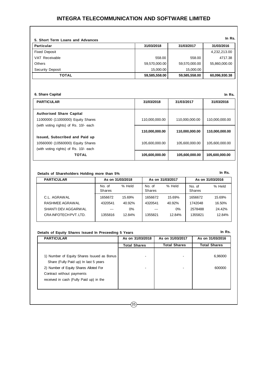| 5. Short Term Loans and Advances |               |               | In Rs.        |
|----------------------------------|---------------|---------------|---------------|
| <b>Particular</b>                | 31/03/2018    | 31/03/2017    | 31/03/2016    |
| <b>Fixed Deposit</b>             |               |               | 4,232,213.00  |
| VAT Receivable                   | 558.00        | 558.00        | 4717.38       |
| <b>Others</b>                    | 59,570,000.00 | 59,570,000.00 | 55,860,000.00 |
| <b>Security Deposit</b>          | 15,000.00     | 15,000.00     |               |
| <b>TOTAL</b>                     | 59,585,558.00 | 59,585,558.00 | 60,096,930.38 |

#### **6. Share Capital**

| 6. Share Capital<br>In Rs.            |                |                |                |  |  |  |
|---------------------------------------|----------------|----------------|----------------|--|--|--|
| <b>PARTICULAR</b>                     | 31/03/2018     | 31/03/2017     | 31/03/2016     |  |  |  |
| <b>Authorised Share Capital</b>       |                |                |                |  |  |  |
| 11000000 (11000000) Equity Shares     | 110,000,000.00 | 110,000,000.00 | 110,000,000.00 |  |  |  |
| (with voting rights) of Rs. 10/- each |                |                |                |  |  |  |
|                                       | 110,000,000.00 | 110,000,000.00 | 110,000,000.00 |  |  |  |
| <b>Issued, Subscribed and Paid up</b> |                |                |                |  |  |  |
| 10560000 (10560000) Equity Shares     | 105.600.000.00 | 105,600,000.00 | 105,600,000.00 |  |  |  |
| (with voting rights) of Rs. 10/- each |                |                |                |  |  |  |
| <b>TOTAL</b>                          | 105,600,000.00 | 105,600,000.00 | 105,600,000.00 |  |  |  |

#### **Details of Shareholders Holding more than 5%**

| <b>PARTICULAR</b>   | As on 31/03/2018        |        |                  | As on 31/03/2017 | As on 31/03/2016        |        |
|---------------------|-------------------------|--------|------------------|------------------|-------------------------|--------|
|                     | No. of<br><b>Shares</b> | % Held | No. of<br>Shares | % Held           | No. of<br><b>Shares</b> | % Held |
| C.L. AGRAWAL        | 1656672                 | 15.69% | 1656672          | 15.69%           | 1656672                 | 15.69% |
| RASHMEE AGRAWAL     | 4320541                 | 40.92% | 4320541          | 40.92%           | 1742048                 | 16.50% |
| SHANTI DEV AGGARWAL | $- - -$                 | 0%     | ---              | $0\%$            | 2578488                 | 24.42% |
| CRAINFOTECHPVT.LTD. | 1355816                 | 12.84% | 1355821          | 12.84%           | 1355821                 | 12.84% |

**In Rs.**

**In Rs.**

### **Details of Equity Shares Issued In Preceeding 5 Years**

| <b>PARTICULAR</b>                                                                                                                                                                                     | As on 31/03/2018    | As on 31/03/2017    | As on 31/03/2016    |
|-------------------------------------------------------------------------------------------------------------------------------------------------------------------------------------------------------|---------------------|---------------------|---------------------|
|                                                                                                                                                                                                       | <b>Total Shares</b> | <b>Total Shares</b> | <b>Total Shares</b> |
| 1) Number of Equity Shares Isuued as Bonus<br>Share (Fully Paid up) In last 5 years<br>2) Number of Equity Shares Alloted For<br>Contract without payments<br>received in cash (Fully Paid up) in the |                     |                     | 6,96000<br>600000   |

### $(35)$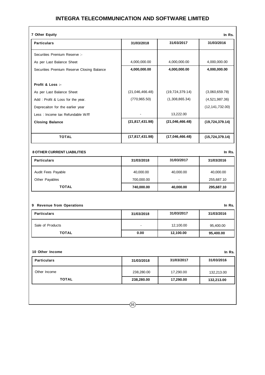|                   | 31/03/2017               | 31/03/2016           |
|-------------------|--------------------------|----------------------|
|                   |                          |                      |
| 4,000,000.00      | 4,000,000.00             | 4,000,000.00         |
| 4,000,000.00      | 4,000,000.00             | 4,000,000.00         |
|                   |                          |                      |
| (21,046,466.48)   | (19, 724, 379.14)        | (3,060,659.78)       |
| (770, 965.50)     | (1,308,865.34)           | (4,521,987.36)       |
|                   |                          | (12, 141, 732.00)    |
|                   | 13,222.00                |                      |
| (21, 817, 431.98) | (21,046,466.48)          | (19, 724, 379.14)    |
| (17, 817, 431.98) | (17,046,466.48)          | (15,724,379.14)      |
|                   |                          | In Rs.               |
| 31/03/2018        | 31/03/2017               | 31/03/2016           |
| 40,000.00         | 40,000.00                | 40,000.00            |
| 700,000.00        | $\overline{\phantom{a}}$ | 255,687.10           |
| 740,000.00        | 40,000.00                | 295,687.10           |
|                   |                          |                      |
|                   | 31/03/2017               | In Rs.<br>31/03/2016 |
|                   |                          |                      |
| 31/03/2018        | 12,100.00                | 95,400.00            |
|                   |                          |                      |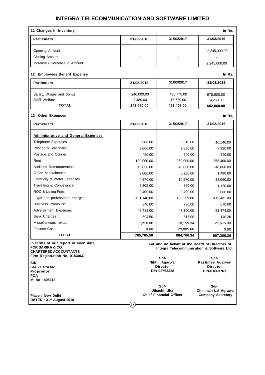| 11 Changes In Inventory                                                                            |            |                                                                                             | In Rs.                                                     |
|----------------------------------------------------------------------------------------------------|------------|---------------------------------------------------------------------------------------------|------------------------------------------------------------|
| <b>Particulars</b>                                                                                 | 31/03/2018 | 31/03/2017                                                                                  | 31/03/2016                                                 |
| Opening Amount                                                                                     |            |                                                                                             | 2,245,000.00                                               |
| Closing Amount                                                                                     |            |                                                                                             |                                                            |
| Increase / Decrease in Amount                                                                      |            |                                                                                             | 2,245,000.00                                               |
|                                                                                                    |            |                                                                                             |                                                            |
| 12 Employees Benefit Expense                                                                       |            |                                                                                             | In Rs.                                                     |
| <b>Particulars</b>                                                                                 | 31/03/2018 | 31/03/2017                                                                                  | 31/03/2016                                                 |
| Salary, Wages and Bonus                                                                            | 240,000.00 | 436,775.00                                                                                  | 678,600.00                                                 |
| Staff Welfare                                                                                      | 3,480.00   | 16,720.00                                                                                   | 4,260.00                                                   |
| <b>TOTAL</b>                                                                                       | 243,480.00 | 453,495.00                                                                                  | 682,860.00                                                 |
| 13 Other Expenses                                                                                  |            |                                                                                             | In Rs.                                                     |
| <b>Particulars</b>                                                                                 | 31/03/2018 | 31/03/2017                                                                                  | 31/03/2016                                                 |
| <b>Administrative and General Expenses</b>                                                         |            |                                                                                             |                                                            |
| <b>Telephone Expenses</b>                                                                          | 5,688.00   | 8,510.00                                                                                    | 16,146.00                                                  |
| Printing & Stationery                                                                              | 9,060.00   | 9,830.00                                                                                    | 7,920.00                                                   |
| Postage and Courier                                                                                | 460.00     | 540.00                                                                                      | 640.00                                                     |
| Rent                                                                                               | 180,000.00 | 259,000.00                                                                                  | 358,400.00                                                 |
| Auditor's Remmuneration                                                                            | 40,000.00  | 40,000.00                                                                                   | 40,000.00                                                  |
| Office Maintainence                                                                                | 9,000.00   | 6,200.00                                                                                    | 1,490.00                                                   |
| Electricity & Water Expenses                                                                       | 4,670.00   | 10,570.00                                                                                   | 33,060.00                                                  |
| Travelling & Conveyance                                                                            | 2,305.00   | 860.00                                                                                      | 1,120.00                                                   |
| ROC & Listing Fees                                                                                 | 2,400.00   | 2,400.00                                                                                    | 3,000.00                                                   |
| Legal and professional charges                                                                     | 461,140.00 | 450,259.00                                                                                  | 413,431.00                                                 |
| <b>Business Promotion</b>                                                                          | 840.00     | 730.00                                                                                      | 870.00                                                     |
| <b>Advertisment Expenses</b>                                                                       | 48,488.00  | 47,300.00                                                                                   | 63,474.00                                                  |
| <b>Bank Charges</b>                                                                                | 504.50     | 517.00                                                                                      | 140.36                                                     |
| Miscellaneous exps.                                                                                | 1,210.00   | 18,159.34                                                                                   | 27,675.00                                                  |
| Finance Cost                                                                                       | 0.00       | 29,885.00                                                                                   | 0.00                                                       |
| <b>TOTAL</b>                                                                                       | 765,765.50 | 884,760.34                                                                                  | 967,366.36                                                 |
| In terms of our report of even date<br><b>FOR SARIKA &amp; CO.</b><br><b>CHARTERED ACCOUNTANTS</b> |            | For and on behalf of the Board of Directors of<br>Integra Telecommunication & Software Ltd. |                                                            |
| Firm Registration No. 015306C<br>Sd/-<br>Sarika Prasad<br>Proprietor<br><b>FCA</b>                 |            | Sd/-<br>Nikhil Agarwal<br><b>Director</b><br>DIN-02763328                                   | Sd/-<br>Rashmee Agarwal<br><b>Director</b><br>DIN-01663761 |
| M. No: 405313<br>Place: New Delhi<br>DATED: 31 <sup>st</sup> August 2018                           | $^{'}37$   | Sd/-<br>Jibachh Jha<br><b>Chief Financial Officer</b>                                       | Sd/-<br>Chimman Lal Agrawal<br><b>Company Secretary</b>    |